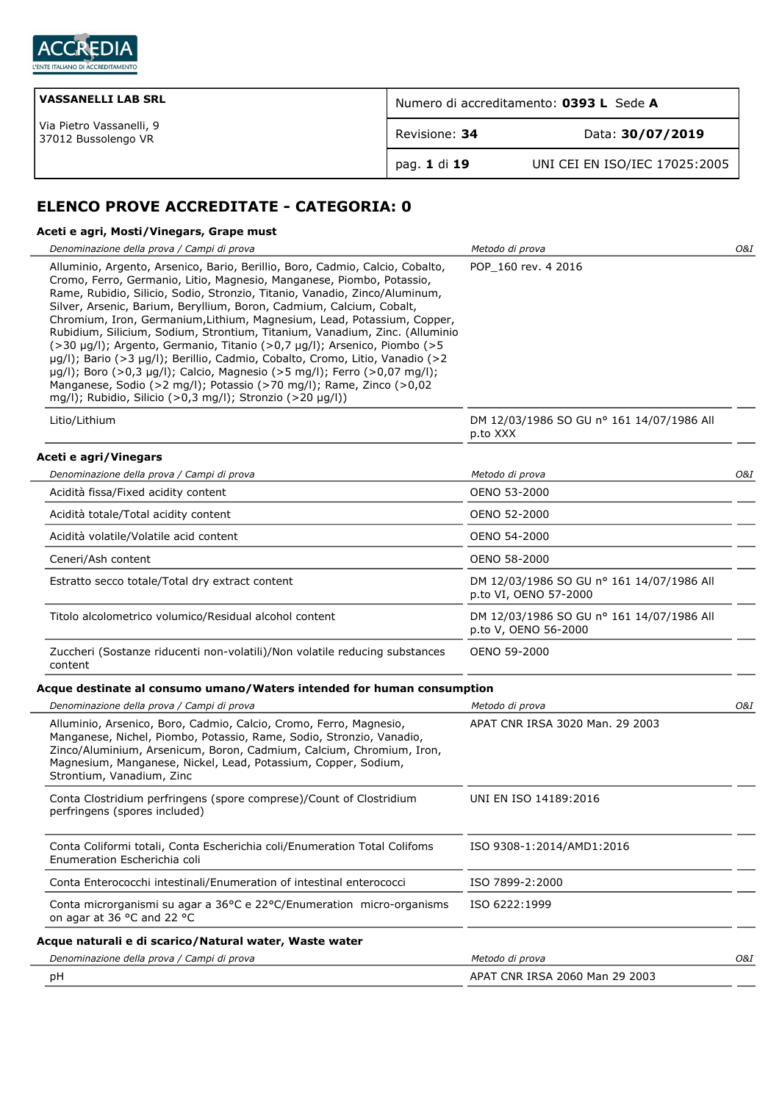

| <b>VASSANELLI LAB SRL</b>                       | Numero di accreditamento: 0393 L Sede A |                               |
|-------------------------------------------------|-----------------------------------------|-------------------------------|
| Via Pietro Vassanelli, 9<br>37012 Bussolengo VR | Revisione: 34                           | Data: 30/07/2019              |
|                                                 | pag. 1 di 19                            | UNI CEI EN ISO/IEC 17025:2005 |

# **ELENCO PROVE ACCREDITATE - CATEGORIA: 0**

## **Aceti e agri, Mosti/Vinegars, Grape must**

| Denominazione della prova / Campi di prova                                                                                                                                                                                                                                                                                                                                                                                                                                                                                                                                                                                                                                                                                                                                                                                                         | Metodo di prova                                                    | O&I |
|----------------------------------------------------------------------------------------------------------------------------------------------------------------------------------------------------------------------------------------------------------------------------------------------------------------------------------------------------------------------------------------------------------------------------------------------------------------------------------------------------------------------------------------------------------------------------------------------------------------------------------------------------------------------------------------------------------------------------------------------------------------------------------------------------------------------------------------------------|--------------------------------------------------------------------|-----|
| Alluminio, Argento, Arsenico, Bario, Berillio, Boro, Cadmio, Calcio, Cobalto,<br>Cromo, Ferro, Germanio, Litio, Magnesio, Manganese, Piombo, Potassio,<br>Rame, Rubidio, Silicio, Sodio, Stronzio, Titanio, Vanadio, Zinco/Aluminum,<br>Silver, Arsenic, Barium, Beryllium, Boron, Cadmium, Calcium, Cobalt,<br>Chromium, Iron, Germanium, Lithium, Magnesium, Lead, Potassium, Copper,<br>Rubidium, Silicium, Sodium, Strontium, Titanium, Vanadium, Zinc. (Alluminio<br>(>30 µg/l); Argento, Germanio, Titanio (>0,7 µg/l); Arsenico, Piombo (>5<br>µg/l); Bario (>3 µg/l); Berillio, Cadmio, Cobalto, Cromo, Litio, Vanadio (>2<br>µg/l); Boro (>0,3 µg/l); Calcio, Magnesio (>5 mg/l); Ferro (>0,07 mg/l);<br>Manganese, Sodio (>2 mg/l); Potassio (>70 mg/l); Rame, Zinco (>0,02<br>mg/l); Rubidio, Silicio (>0,3 mg/l); Stronzio (>20 µg/l)) | POP 160 rev. 4 2016                                                |     |
| Litio/Lithium                                                                                                                                                                                                                                                                                                                                                                                                                                                                                                                                                                                                                                                                                                                                                                                                                                      | DM 12/03/1986 SO GU nº 161 14/07/1986 All<br>p.to XXX              |     |
| Aceti e agri/Vinegars                                                                                                                                                                                                                                                                                                                                                                                                                                                                                                                                                                                                                                                                                                                                                                                                                              |                                                                    |     |
| Denominazione della prova / Campi di prova                                                                                                                                                                                                                                                                                                                                                                                                                                                                                                                                                                                                                                                                                                                                                                                                         | Metodo di prova                                                    | O&I |
| Acidità fissa/Fixed acidity content                                                                                                                                                                                                                                                                                                                                                                                                                                                                                                                                                                                                                                                                                                                                                                                                                | OENO 53-2000                                                       |     |
| Acidità totale/Total acidity content                                                                                                                                                                                                                                                                                                                                                                                                                                                                                                                                                                                                                                                                                                                                                                                                               | OENO 52-2000                                                       |     |
| Acidità volatile/Volatile acid content                                                                                                                                                                                                                                                                                                                                                                                                                                                                                                                                                                                                                                                                                                                                                                                                             | OENO 54-2000                                                       |     |
| Ceneri/Ash content                                                                                                                                                                                                                                                                                                                                                                                                                                                                                                                                                                                                                                                                                                                                                                                                                                 | OENO 58-2000                                                       |     |
| Estratto secco totale/Total dry extract content                                                                                                                                                                                                                                                                                                                                                                                                                                                                                                                                                                                                                                                                                                                                                                                                    | DM 12/03/1986 SO GU nº 161 14/07/1986 All<br>p.to VI, OENO 57-2000 |     |
| Titolo alcolometrico volumico/Residual alcohol content                                                                                                                                                                                                                                                                                                                                                                                                                                                                                                                                                                                                                                                                                                                                                                                             | DM 12/03/1986 SO GU nº 161 14/07/1986 All<br>p.to V, OENO 56-2000  |     |
| Zuccheri (Sostanze riducenti non-volatili)/Non volatile reducing substances<br>content                                                                                                                                                                                                                                                                                                                                                                                                                                                                                                                                                                                                                                                                                                                                                             | OENO 59-2000                                                       |     |
| Acque destinate al consumo umano/Waters intended for human consumption                                                                                                                                                                                                                                                                                                                                                                                                                                                                                                                                                                                                                                                                                                                                                                             |                                                                    |     |
| Denominazione della prova / Campi di prova                                                                                                                                                                                                                                                                                                                                                                                                                                                                                                                                                                                                                                                                                                                                                                                                         | Metodo di prova                                                    | O&I |
| Alluminio, Arsenico, Boro, Cadmio, Calcio, Cromo, Ferro, Magnesio,<br>Manganese, Nichel, Piombo, Potassio, Rame, Sodio, Stronzio, Vanadio,<br>Zinco/Aluminium, Arsenicum, Boron, Cadmium, Calcium, Chromium, Iron,<br>Magnesium, Manganese, Nickel, Lead, Potassium, Copper, Sodium,<br>Strontium, Vanadium, Zinc                                                                                                                                                                                                                                                                                                                                                                                                                                                                                                                                  | APAT CNR IRSA 3020 Man. 29 2003                                    |     |
| Conta Clostridium perfringens (spore comprese)/Count of Clostridium<br>perfringens (spores included)                                                                                                                                                                                                                                                                                                                                                                                                                                                                                                                                                                                                                                                                                                                                               | UNI EN ISO 14189:2016                                              |     |
| Conta Coliformi totali, Conta Escherichia coli/Enumeration Total Colifoms<br>Enumeration Escherichia coli                                                                                                                                                                                                                                                                                                                                                                                                                                                                                                                                                                                                                                                                                                                                          | ISO 9308-1:2014/AMD1:2016                                          |     |
| Conta Enterococchi intestinali/Enumeration of intestinal enterococci                                                                                                                                                                                                                                                                                                                                                                                                                                                                                                                                                                                                                                                                                                                                                                               | ISO 7899-2:2000                                                    |     |
| Conta microrganismi su agar a 36°C e 22°C/Enumeration micro-organisms<br>on agar at 36 °C and 22 °C                                                                                                                                                                                                                                                                                                                                                                                                                                                                                                                                                                                                                                                                                                                                                | ISO 6222:1999                                                      |     |
| Acque naturali e di scarico/Natural water, Waste water                                                                                                                                                                                                                                                                                                                                                                                                                                                                                                                                                                                                                                                                                                                                                                                             |                                                                    |     |
| Denominazione della prova / Campi di prova                                                                                                                                                                                                                                                                                                                                                                                                                                                                                                                                                                                                                                                                                                                                                                                                         | Metodo di prova                                                    | O&I |
| рH                                                                                                                                                                                                                                                                                                                                                                                                                                                                                                                                                                                                                                                                                                                                                                                                                                                 | APAT CNR IRSA 2060 Man 29 2003                                     |     |
|                                                                                                                                                                                                                                                                                                                                                                                                                                                                                                                                                                                                                                                                                                                                                                                                                                                    |                                                                    |     |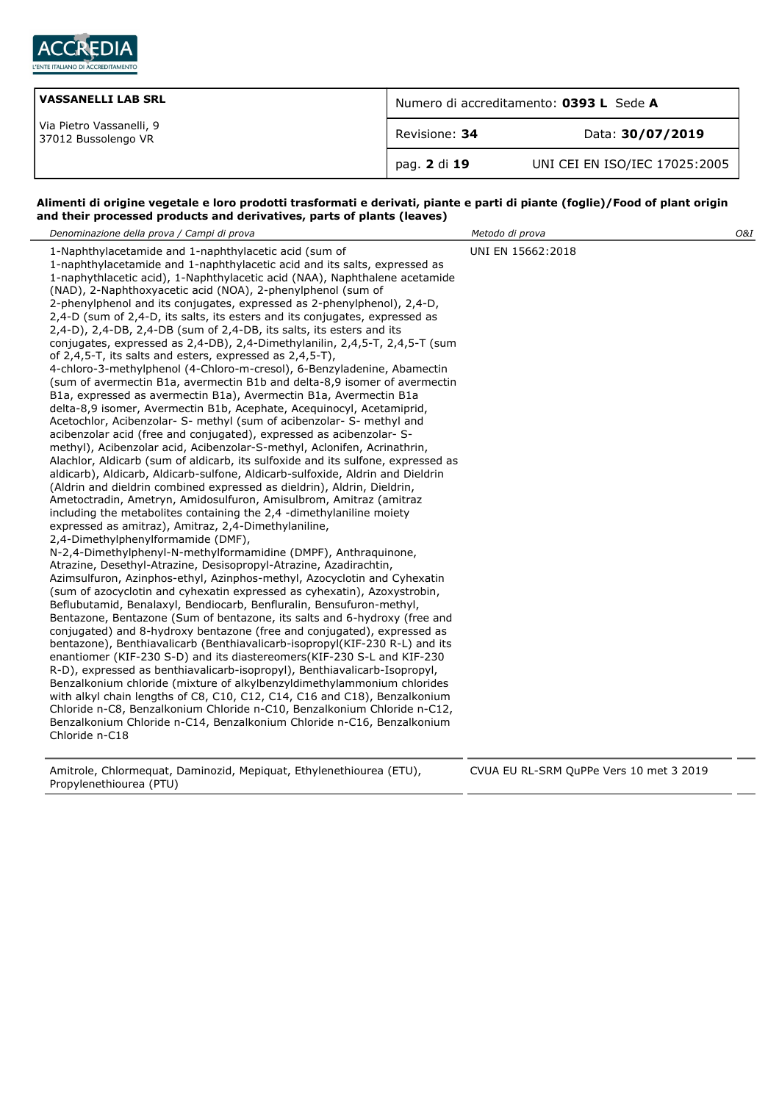

| <b>VASSANELLI LAB SRL</b>                       | Numero di accreditamento: 0393 L Sede A |                               |
|-------------------------------------------------|-----------------------------------------|-------------------------------|
| Via Pietro Vassanelli, 9<br>37012 Bussolengo VR | Revisione: 34                           | Data: 30/07/2019              |
|                                                 | pag. 2 di 19                            | UNI CEI EN ISO/IEC 17025:2005 |

#### **Alimenti di origine vegetale e loro prodotti trasformati e derivati, piante e parti di piante (foglie)/Food of plant origin and their processed products and derivatives, parts of plants (leaves)**

| Denominazione della prova / Campi di prova                                                                                                                                                                                                                                                                                                                                                                                                                                                                                                                                                                                                                                                                                                                                                                                                                                                                                                                                                                                                                                                                                                                                                                                                                                                                                                                                                                                                                                                                                                                                                                                                                                                                                                                                                                                                                                                                                                                                                                                                                                                                                                                                                                                                                                                                                                                                                                                                                                                                                                                                                                                                                                                                                                                                                          | Metodo di prova                                    | O&I |
|-----------------------------------------------------------------------------------------------------------------------------------------------------------------------------------------------------------------------------------------------------------------------------------------------------------------------------------------------------------------------------------------------------------------------------------------------------------------------------------------------------------------------------------------------------------------------------------------------------------------------------------------------------------------------------------------------------------------------------------------------------------------------------------------------------------------------------------------------------------------------------------------------------------------------------------------------------------------------------------------------------------------------------------------------------------------------------------------------------------------------------------------------------------------------------------------------------------------------------------------------------------------------------------------------------------------------------------------------------------------------------------------------------------------------------------------------------------------------------------------------------------------------------------------------------------------------------------------------------------------------------------------------------------------------------------------------------------------------------------------------------------------------------------------------------------------------------------------------------------------------------------------------------------------------------------------------------------------------------------------------------------------------------------------------------------------------------------------------------------------------------------------------------------------------------------------------------------------------------------------------------------------------------------------------------------------------------------------------------------------------------------------------------------------------------------------------------------------------------------------------------------------------------------------------------------------------------------------------------------------------------------------------------------------------------------------------------------------------------------------------------------------------------------------------------|----------------------------------------------------|-----|
| 1-Naphthylacetamide and 1-naphthylacetic acid (sum of<br>1-naphthylacetamide and 1-naphthylacetic acid and its salts, expressed as<br>1-naphythlacetic acid), 1-Naphthylacetic acid (NAA), Naphthalene acetamide<br>(NAD), 2-Naphthoxyacetic acid (NOA), 2-phenylphenol (sum of<br>2-phenylphenol and its conjugates, expressed as 2-phenylphenol), 2,4-D,<br>2,4-D (sum of 2,4-D, its salts, its esters and its conjugates, expressed as<br>2,4-D), 2,4-DB, 2,4-DB (sum of 2,4-DB, its salts, its esters and its<br>conjugates, expressed as 2,4-DB), 2,4-Dimethylanilin, 2,4,5-T, 2,4,5-T (sum<br>of 2,4,5-T, its salts and esters, expressed as 2,4,5-T),<br>4-chloro-3-methylphenol (4-Chloro-m-cresol), 6-Benzyladenine, Abamectin<br>(sum of avermectin B1a, avermectin B1b and delta-8,9 isomer of avermectin<br>B1a, expressed as avermectin B1a), Avermectin B1a, Avermectin B1a<br>delta-8,9 isomer, Avermectin B1b, Acephate, Acequinocyl, Acetamiprid,<br>Acetochlor, Acibenzolar- S- methyl (sum of acibenzolar- S- methyl and<br>acibenzolar acid (free and conjugated), expressed as acibenzolar- S-<br>methyl), Acibenzolar acid, Acibenzolar-S-methyl, Aclonifen, Acrinathrin,<br>Alachlor, Aldicarb (sum of aldicarb, its sulfoxide and its sulfone, expressed as<br>aldicarb), Aldicarb, Aldicarb-sulfone, Aldicarb-sulfoxide, Aldrin and Dieldrin<br>(Aldrin and dieldrin combined expressed as dieldrin), Aldrin, Dieldrin,<br>Ametoctradin, Ametryn, Amidosulfuron, Amisulbrom, Amitraz (amitraz<br>including the metabolites containing the 2,4 -dimethylaniline moiety<br>expressed as amitraz), Amitraz, 2,4-Dimethylaniline,<br>2,4-Dimethylphenylformamide (DMF),<br>N-2,4-Dimethylphenyl-N-methylformamidine (DMPF), Anthraguinone,<br>Atrazine, Desethyl-Atrazine, Desisopropyl-Atrazine, Azadirachtin,<br>Azimsulfuron, Azinphos-ethyl, Azinphos-methyl, Azocyclotin and Cyhexatin<br>(sum of azocyclotin and cyhexatin expressed as cyhexatin), Azoxystrobin,<br>Beflubutamid, Benalaxyl, Bendiocarb, Benfluralin, Bensufuron-methyl,<br>Bentazone, Bentazone (Sum of bentazone, its salts and 6-hydroxy (free and<br>conjugated) and 8-hydroxy bentazone (free and conjugated), expressed as<br>bentazone), Benthiavalicarb (Benthiavalicarb-isopropyl(KIF-230 R-L) and its<br>enantiomer (KIF-230 S-D) and its diastereomers (KIF-230 S-L and KIF-230<br>R-D), expressed as benthiavalicarb-isopropyl), Benthiavalicarb-Isopropyl,<br>Benzalkonium chloride (mixture of alkylbenzyldimethylammonium chlorides<br>with alkyl chain lengths of C8, C10, C12, C14, C16 and C18), Benzalkonium<br>Chloride n-C8, Benzalkonium Chloride n-C10, Benzalkonium Chloride n-C12,<br>Benzalkonium Chloride n-C14, Benzalkonium Chloride n-C16, Benzalkonium<br>Chloride n-C18 | UNI EN 15662:2018                                  |     |
| Amitrola Chlormoquat Daminozid Moniquat Ethylopothiouroa (ETU)                                                                                                                                                                                                                                                                                                                                                                                                                                                                                                                                                                                                                                                                                                                                                                                                                                                                                                                                                                                                                                                                                                                                                                                                                                                                                                                                                                                                                                                                                                                                                                                                                                                                                                                                                                                                                                                                                                                                                                                                                                                                                                                                                                                                                                                                                                                                                                                                                                                                                                                                                                                                                                                                                                                                      | $C[1][1]$ Ell DI CDM $C[1]$ DDe Vers 10 met 2.2010 |     |

Amitrole, Chlormequat, Daminozid, Mepiquat, Ethylenethiourea (ETU), Propylenethiourea (PTU)

CVUA EU RL-SRM QuPPe Vers 10 met 3 2019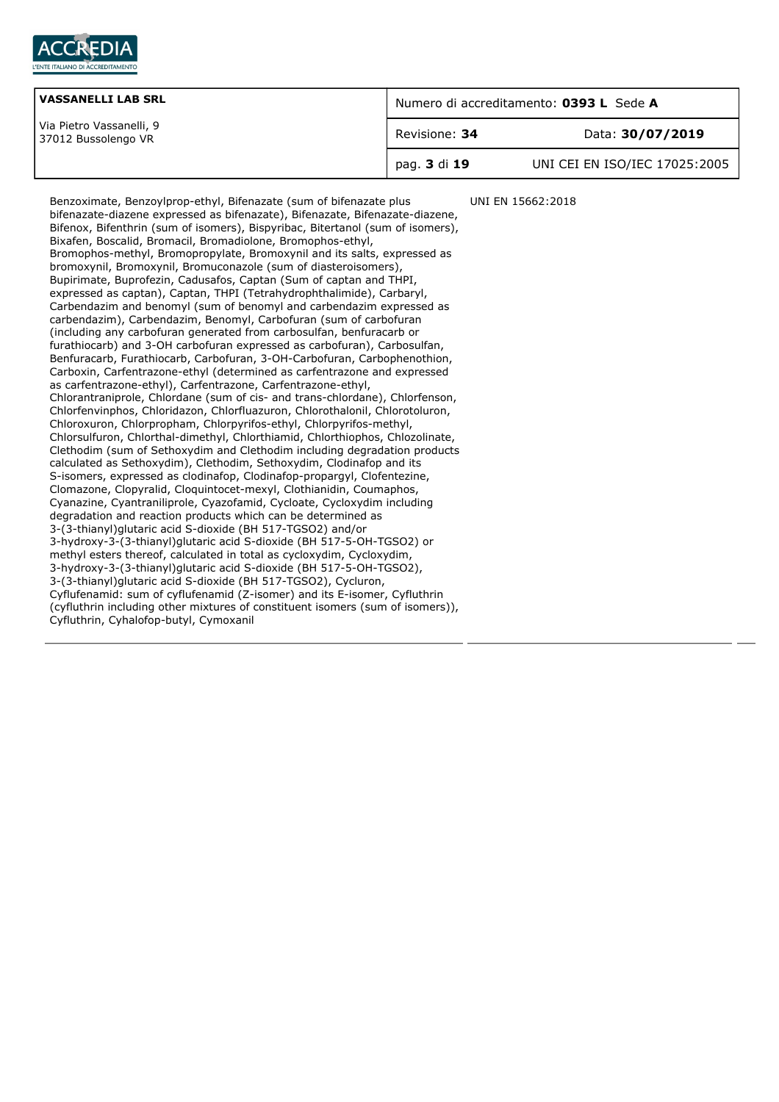

| <b>VASSANELLI LAB SRL</b>                       | Numero di accreditamento: 0393 L Sede A |                               |
|-------------------------------------------------|-----------------------------------------|-------------------------------|
| Via Pietro Vassanelli, 9<br>37012 Bussolengo VR | Revisione: 34                           | Data: 30/07/2019              |
|                                                 | pag. 3 di 19                            | UNI CEI EN ISO/IEC 17025:2005 |

UNI EN 15662:2018

bifenazate-diazene expressed as bifenazate), Bifenazate, Bifenazate-diazene, Bifenox, Bifenthrin (sum of isomers), Bispyribac, Bitertanol (sum of isomers), Bixafen, Boscalid, Bromacil, Bromadiolone, Bromophos-ethyl, Bromophos-methyl, Bromopropylate, Bromoxynil and its salts, expressed as bromoxynil, Bromoxynil, Bromuconazole (sum of diasteroisomers), Bupirimate, Buprofezin, Cadusafos, Captan (Sum of captan and THPI, expressed as captan), Captan, THPI (Tetrahydrophthalimide), Carbaryl, Carbendazim and benomyl (sum of benomyl and carbendazim expressed as carbendazim), Carbendazim, Benomyl, Carbofuran (sum of carbofuran (including any carbofuran generated from carbosulfan, benfuracarb or furathiocarb) and 3-OH carbofuran expressed as carbofuran), Carbosulfan, Benfuracarb, Furathiocarb, Carbofuran, 3-OH-Carbofuran, Carbophenothion, Carboxin, Carfentrazone-ethyl (determined as carfentrazone and expressed as carfentrazone-ethyl), Carfentrazone, Carfentrazone-ethyl, Chlorantraniprole, Chlordane (sum of cis- and trans-chlordane), Chlorfenson, Chlorfenvinphos, Chloridazon, Chlorfluazuron, Chlorothalonil, Chlorotoluron, Chloroxuron, Chlorpropham, Chlorpyrifos-ethyl, Chlorpyrifos-methyl, Chlorsulfuron, Chlorthal-dimethyl, Chlorthiamid, Chlorthiophos, Chlozolinate, Clethodim (sum of Sethoxydim and Clethodim including degradation products calculated as Sethoxydim), Clethodim, Sethoxydim, Clodinafop and its S-isomers, expressed as clodinafop, Clodinafop-propargyl, Clofentezine, Clomazone, Clopyralid, Cloquintocet-mexyl, Clothianidin, Coumaphos, Cyanazine, Cyantraniliprole, Cyazofamid, Cycloate, Cycloxydim including degradation and reaction products which can be determined as 3-(3-thianyl)glutaric acid S-dioxide (BH 517-TGSO2) and/or 3-hydroxy-3-(3-thianyl)glutaric acid S-dioxide (BH 517-5-OH-TGSO2) or methyl esters thereof, calculated in total as cycloxydim, Cycloxydim, 3-hydroxy-3-(3-thianyl)glutaric acid S-dioxide (BH 517-5-OH-TGSO2), 3-(3-thianyl)glutaric acid S-dioxide (BH 517-TGSO2), Cycluron, Cyflufenamid: sum of cyflufenamid (Z-isomer) and its E-isomer, Cyfluthrin (cyfluthrin including other mixtures of constituent isomers (sum of isomers)), Cyfluthrin, Cyhalofop-butyl, Cymoxanil

Benzoximate, Benzoylprop-ethyl, Bifenazate (sum of bifenazate plus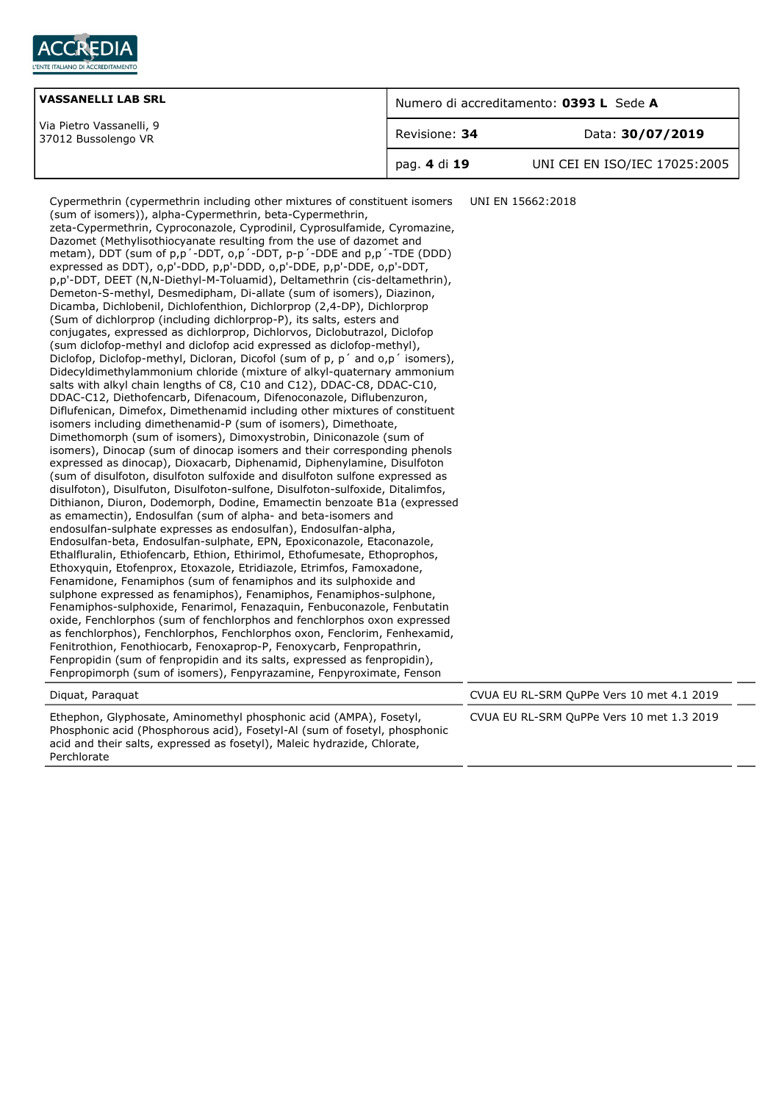

| <b>VASSANELLI LAB SRL</b>                       | Numero di accreditamento: 0393 L Sede A |                               |
|-------------------------------------------------|-----------------------------------------|-------------------------------|
| Via Pietro Vassanelli, 9<br>37012 Bussolengo VR | Revisione: 34                           | Data: 30/07/2019              |
|                                                 | pag. 4 di 19                            | UNI CEI EN ISO/IEC 17025:2005 |

| Cypermethrin (cypermethrin including other mixtures of constituent isomers<br>(sum of isomers)), alpha-Cypermethrin, beta-Cypermethrin,<br>zeta-Cypermethrin, Cyproconazole, Cyprodinil, Cyprosulfamide, Cyromazine,<br>Dazomet (Methylisothiocyanate resulting from the use of dazomet and<br>metam), DDT (sum of p,p'-DDT, o,p'-DDT, p-p'-DDE and p,p'-TDE (DDD)<br>expressed as DDT), o,p'-DDD, p,p'-DDD, o,p'-DDE, p,p'-DDE, o,p'-DDT,<br>p,p'-DDT, DEET (N,N-Diethyl-M-Toluamid), Deltamethrin (cis-deltamethrin),<br>Demeton-S-methyl, Desmedipham, Di-allate (sum of isomers), Diazinon,<br>Dicamba, Dichlobenil, Dichlofenthion, Dichlorprop (2,4-DP), Dichlorprop<br>(Sum of dichlorprop (including dichlorprop-P), its salts, esters and<br>conjugates, expressed as dichlorprop, Dichlorvos, Diclobutrazol, Diclofop<br>(sum diclofop-methyl and diclofop acid expressed as diclofop-methyl),<br>Diclofop, Diclofop-methyl, Dicloran, Dicofol (sum of p, p' and o,p' isomers),<br>Didecyldimethylammonium chloride (mixture of alkyl-quaternary ammonium<br>salts with alkyl chain lengths of C8, C10 and C12), DDAC-C8, DDAC-C10,<br>DDAC-C12, Diethofencarb, Difenacoum, Difenoconazole, Diflubenzuron,<br>Diflufenican, Dimefox, Dimethenamid including other mixtures of constituent<br>isomers including dimethenamid-P (sum of isomers), Dimethoate,<br>Dimethomorph (sum of isomers), Dimoxystrobin, Diniconazole (sum of<br>isomers), Dinocap (sum of dinocap isomers and their corresponding phenols<br>expressed as dinocap), Dioxacarb, Diphenamid, Diphenylamine, Disulfoton<br>(sum of disulfoton, disulfoton sulfoxide and disulfoton sulfone expressed as<br>disulfoton), Disulfuton, Disulfoton-sulfone, Disulfoton-sulfoxide, Ditalimfos,<br>Dithianon, Diuron, Dodemorph, Dodine, Emamectin benzoate B1a (expressed<br>as emamectin), Endosulfan (sum of alpha- and beta-isomers and<br>endosulfan-sulphate expresses as endosulfan), Endosulfan-alpha,<br>Endosulfan-beta, Endosulfan-sulphate, EPN, Epoxiconazole, Etaconazole,<br>Ethalfluralin, Ethiofencarb, Ethion, Ethirimol, Ethofumesate, Ethoprophos,<br>Ethoxyquin, Etofenprox, Etoxazole, Etridiazole, Etrimfos, Famoxadone,<br>Fenamidone, Fenamiphos (sum of fenamiphos and its sulphoxide and<br>sulphone expressed as fenamiphos), Fenamiphos, Fenamiphos-sulphone,<br>Fenamiphos-sulphoxide, Fenarimol, Fenazaquin, Fenbuconazole, Fenbutatin<br>oxide, Fenchlorphos (sum of fenchlorphos and fenchlorphos oxon expressed<br>as fenchlorphos), Fenchlorphos, Fenchlorphos oxon, Fenclorim, Fenhexamid,<br>Fenitrothion, Fenothiocarb, Fenoxaprop-P, Fenoxycarb, Fenpropathrin,<br>Fenpropidin (sum of fenpropidin and its salts, expressed as fenpropidin),<br>Fenpropimorph (sum of isomers), Fenpyrazamine, Fenpyroximate, Fenson | UNI EN 15662:2018                         |  |
|-----------------------------------------------------------------------------------------------------------------------------------------------------------------------------------------------------------------------------------------------------------------------------------------------------------------------------------------------------------------------------------------------------------------------------------------------------------------------------------------------------------------------------------------------------------------------------------------------------------------------------------------------------------------------------------------------------------------------------------------------------------------------------------------------------------------------------------------------------------------------------------------------------------------------------------------------------------------------------------------------------------------------------------------------------------------------------------------------------------------------------------------------------------------------------------------------------------------------------------------------------------------------------------------------------------------------------------------------------------------------------------------------------------------------------------------------------------------------------------------------------------------------------------------------------------------------------------------------------------------------------------------------------------------------------------------------------------------------------------------------------------------------------------------------------------------------------------------------------------------------------------------------------------------------------------------------------------------------------------------------------------------------------------------------------------------------------------------------------------------------------------------------------------------------------------------------------------------------------------------------------------------------------------------------------------------------------------------------------------------------------------------------------------------------------------------------------------------------------------------------------------------------------------------------------------------------------------------------------------------------------------------------------------------------------------------------------------------------------------------------------------------------------------------------------------------------------------|-------------------------------------------|--|
| Diguat, Paraguat                                                                                                                                                                                                                                                                                                                                                                                                                                                                                                                                                                                                                                                                                                                                                                                                                                                                                                                                                                                                                                                                                                                                                                                                                                                                                                                                                                                                                                                                                                                                                                                                                                                                                                                                                                                                                                                                                                                                                                                                                                                                                                                                                                                                                                                                                                                                                                                                                                                                                                                                                                                                                                                                                                                                                                                                                  | CVUA EU RL-SRM QuPPe Vers 10 met 4.1 2019 |  |
| Ethephon, Glyphosate, Aminomethyl phosphonic acid (AMPA), Fosetyl,<br>Phosphonic acid (Phosphorous acid), Fosetyl-Al (sum of fosetyl, phosphonic<br>acid and their salts, expressed as fosetyl), Maleic hydrazide, Chlorate,<br>Perchlorate                                                                                                                                                                                                                                                                                                                                                                                                                                                                                                                                                                                                                                                                                                                                                                                                                                                                                                                                                                                                                                                                                                                                                                                                                                                                                                                                                                                                                                                                                                                                                                                                                                                                                                                                                                                                                                                                                                                                                                                                                                                                                                                                                                                                                                                                                                                                                                                                                                                                                                                                                                                       | CVUA EU RL-SRM QuPPe Vers 10 met 1.3 2019 |  |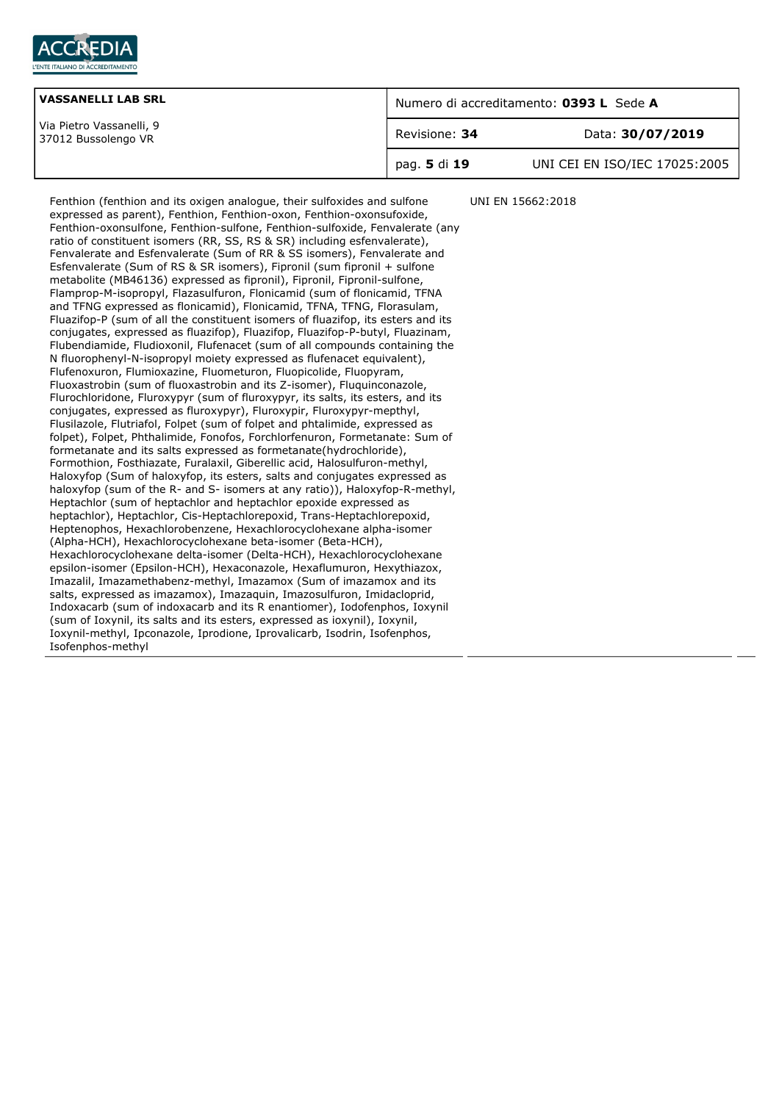

| <b>VASSANELLI LAB SRL</b>                       | Numero di accreditamento: 0393 L Sede A |                               |
|-------------------------------------------------|-----------------------------------------|-------------------------------|
| Via Pietro Vassanelli, 9<br>37012 Bussolengo VR | Revisione: 34                           | Data: 30/07/2019              |
|                                                 | pag. 5 di 19                            | UNI CEI EN ISO/IEC 17025:2005 |

Fenthion (fenthion and its oxigen analogue, their sulfoxides and sulfone expressed as parent), Fenthion, Fenthion-oxon, Fenthion-oxonsufoxide, Fenthion-oxonsulfone, Fenthion-sulfone, Fenthion-sulfoxide, Fenvalerate (any ratio of constituent isomers (RR, SS, RS & SR) including esfenvalerate), Fenvalerate and Esfenvalerate (Sum of RR & SS isomers), Fenvalerate and Esfenvalerate (Sum of RS & SR isomers), Fipronil (sum fipronil + sulfone metabolite (MB46136) expressed as fipronil), Fipronil, Fipronil-sulfone, Flamprop-M-isopropyl, Flazasulfuron, Flonicamid (sum of flonicamid, TFNA and TFNG expressed as flonicamid), Flonicamid, TFNA, TFNG, Florasulam, Fluazifop-P (sum of all the constituent isomers of fluazifop, its esters and its conjugates, expressed as fluazifop), Fluazifop, Fluazifop-P-butyl, Fluazinam, Flubendiamide, Fludioxonil, Flufenacet (sum of all compounds containing the N fluorophenyl-N-isopropyl moiety expressed as flufenacet equivalent), Flufenoxuron, Flumioxazine, Fluometuron, Fluopicolide, Fluopyram, Fluoxastrobin (sum of fluoxastrobin and its Z-isomer), Fluquinconazole, Flurochloridone, Fluroxypyr (sum of fluroxypyr, its salts, its esters, and its conjugates, expressed as fluroxypyr), Fluroxypir, Fluroxypyr-mepthyl, Flusilazole, Flutriafol, Folpet (sum of folpet and phtalimide, expressed as folpet), Folpet, Phthalimide, Fonofos, Forchlorfenuron, Formetanate: Sum of formetanate and its salts expressed as formetanate(hydrochloride), Formothion, Fosthiazate, Furalaxil, Giberellic acid, Halosulfuron-methyl, Haloxyfop (Sum of haloxyfop, its esters, salts and conjugates expressed as haloxyfop (sum of the R- and S- isomers at any ratio)), Haloxyfop-R-methyl, Heptachlor (sum of heptachlor and heptachlor epoxide expressed as heptachlor), Heptachlor, Cis-Heptachlorepoxid, Trans-Heptachlorepoxid, Heptenophos, Hexachlorobenzene, Hexachlorocyclohexane alpha-isomer (Alpha-HCH), Hexachlorocyclohexane beta-isomer (Beta-HCH), Hexachlorocyclohexane delta-isomer (Delta-HCH), Hexachlorocyclohexane epsilon-isomer (Epsilon-HCH), Hexaconazole, Hexaflumuron, Hexythiazox, Imazalil, Imazamethabenz-methyl, Imazamox (Sum of imazamox and its salts, expressed as imazamox), Imazaquin, Imazosulfuron, Imidacloprid, Indoxacarb (sum of indoxacarb and its R enantiomer), Iodofenphos, Ioxynil (sum of Ioxynil, its salts and its esters, expressed as ioxynil), Ioxynil, Ioxynil-methyl, Ipconazole, Iprodione, Iprovalicarb, Isodrin, Isofenphos, Isofenphos-methyl UNI EN 15662:2018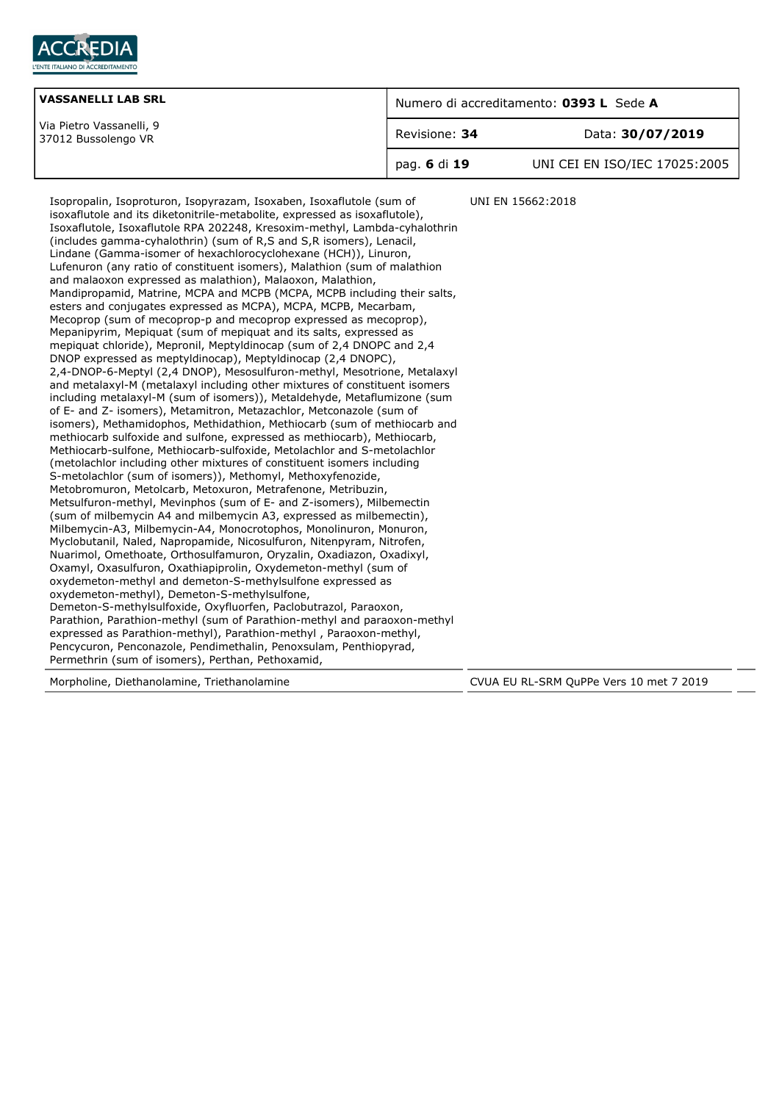

| <b>VASSANELLI LAB SRL</b>                       | Numero di accreditamento: 0393 L Sede A |                               |
|-------------------------------------------------|-----------------------------------------|-------------------------------|
| Via Pietro Vassanelli, 9<br>37012 Bussolengo VR | Revisione: 34                           | Data: 30/07/2019              |
|                                                 | pag. 6 di 19                            | UNI CEI EN ISO/IEC 17025:2005 |

Isopropalin, Isoproturon, Isopyrazam, Isoxaben, Isoxaflutole (sum of isoxaflutole and its diketonitrile-metabolite, expressed as isoxaflutole), Isoxaflutole, Isoxaflutole RPA 202248, Kresoxim-methyl, Lambda-cyhalothrin (includes gamma-cyhalothrin) (sum of R,S and S,R isomers), Lenacil, Lindane (Gamma-isomer of hexachlorocyclohexane (HCH)), Linuron, Lufenuron (any ratio of constituent isomers), Malathion (sum of malathion and malaoxon expressed as malathion), Malaoxon, Malathion, Mandipropamid, Matrine, MCPA and MCPB (MCPA, MCPB including their salts, esters and conjugates expressed as MCPA), MCPA, MCPB, Mecarbam, Mecoprop (sum of mecoprop-p and mecoprop expressed as mecoprop), Mepanipyrim, Mepiquat (sum of mepiquat and its salts, expressed as mepiquat chloride), Mepronil, Meptyldinocap (sum of 2,4 DNOPC and 2,4 DNOP expressed as meptyldinocap), Meptyldinocap (2,4 DNOPC), 2,4-DNOP-6-Meptyl (2,4 DNOP), Mesosulfuron-methyl, Mesotrione, Metalaxyl and metalaxyl-M (metalaxyl including other mixtures of constituent isomers including metalaxyl-M (sum of isomers)), Metaldehyde, Metaflumizone (sum of E- and Z- isomers), Metamitron, Metazachlor, Metconazole (sum of isomers), Methamidophos, Methidathion, Methiocarb (sum of methiocarb and methiocarb sulfoxide and sulfone, expressed as methiocarb), Methiocarb, Methiocarb-sulfone, Methiocarb-sulfoxide, Metolachlor and S-metolachlor (metolachlor including other mixtures of constituent isomers including S-metolachlor (sum of isomers)), Methomyl, Methoxyfenozide, Metobromuron, Metolcarb, Metoxuron, Metrafenone, Metribuzin, Metsulfuron-methyl, Mevinphos (sum of E- and Z-isomers), Milbemectin (sum of milbemycin A4 and milbemycin A3, expressed as milbemectin), Milbemycin-A3, Milbemycin-A4, Monocrotophos, Monolinuron, Monuron, Myclobutanil, Naled, Napropamide, Nicosulfuron, Nitenpyram, Nitrofen, Nuarimol, Omethoate, Orthosulfamuron, Oryzalin, Oxadiazon, Oxadixyl, Oxamyl, Oxasulfuron, Oxathiapiprolin, Oxydemeton-methyl (sum of oxydemeton-methyl and demeton-S-methylsulfone expressed as oxydemeton-methyl), Demeton-S-methylsulfone, Demeton-S-methylsulfoxide, Oxyfluorfen, Paclobutrazol, Paraoxon, Parathion, Parathion-methyl (sum of Parathion-methyl and paraoxon-methyl expressed as Parathion-methyl), Parathion-methyl , Paraoxon-methyl, Pencycuron, Penconazole, Pendimethalin, Penoxsulam, Penthiopyrad, Permethrin (sum of isomers), Perthan, Pethoxamid, UNI EN 15662:2018

Morpholine, Diethanolamine, Triethanolamine CVUA EU RL-SRM QuPPe Vers 10 met 7 2019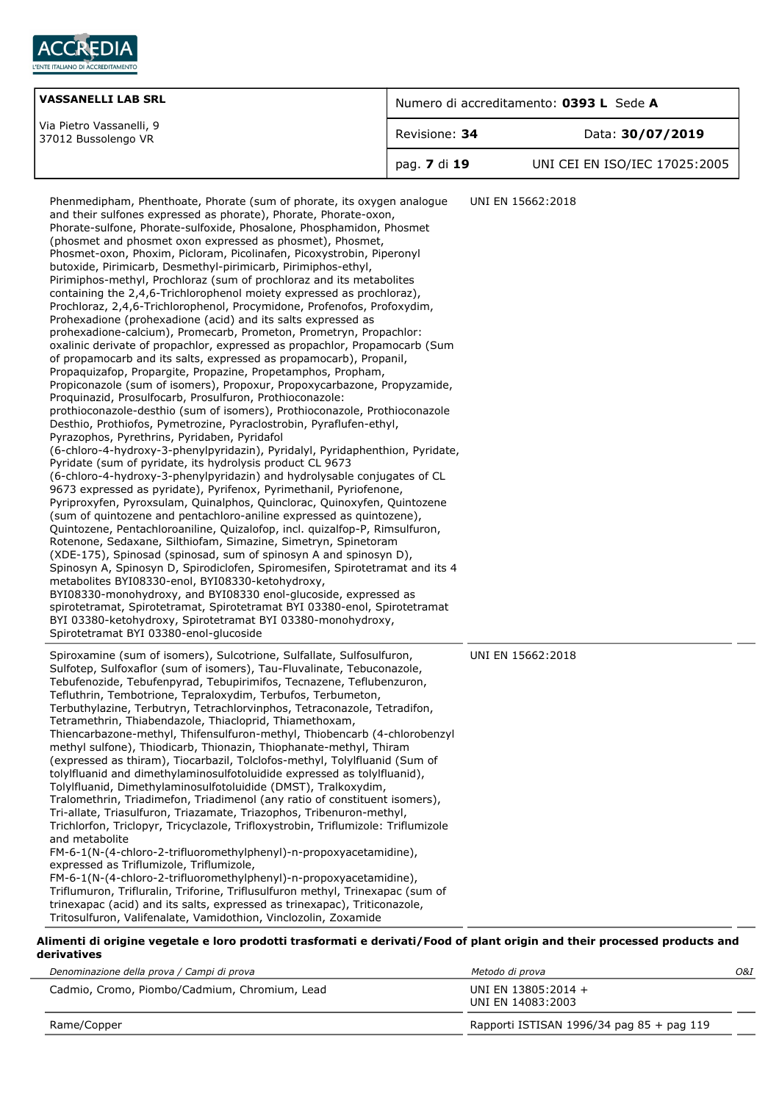

| <b>VASSANELLI LAB SRL</b>                       | Numero di accreditamento: 0393 L Sede A |                               |
|-------------------------------------------------|-----------------------------------------|-------------------------------|
| Via Pietro Vassanelli, 9<br>37012 Bussolengo VR | Revisione: 34                           | Data: 30/07/2019              |
|                                                 | pag. 7 di 19                            | UNI CEI EN ISO/IEC 17025:2005 |

| Phenmedipham, Phenthoate, Phorate (sum of phorate, its oxygen analogue<br>and their sulfones expressed as phorate), Phorate, Phorate-oxon,<br>Phorate-sulfone, Phorate-sulfoxide, Phosalone, Phosphamidon, Phosmet<br>(phosmet and phosmet oxon expressed as phosmet), Phosmet,<br>Phosmet-oxon, Phoxim, Picloram, Picolinafen, Picoxystrobin, Piperonyl<br>butoxide, Pirimicarb, Desmethyl-pirimicarb, Pirimiphos-ethyl,<br>Pirimiphos-methyl, Prochloraz (sum of prochloraz and its metabolites<br>containing the 2,4,6-Trichlorophenol moiety expressed as prochloraz),<br>Prochloraz, 2,4,6-Trichlorophenol, Procymidone, Profenofos, Profoxydim,<br>Prohexadione (prohexadione (acid) and its salts expressed as<br>prohexadione-calcium), Promecarb, Prometon, Prometryn, Propachlor:<br>oxalinic derivate of propachlor, expressed as propachlor, Propamocarb (Sum<br>of propamocarb and its salts, expressed as propamocarb), Propanil,<br>Propaquizafop, Propargite, Propazine, Propetamphos, Propham,<br>Propiconazole (sum of isomers), Propoxur, Propoxycarbazone, Propyzamide,<br>Proquinazid, Prosulfocarb, Prosulfuron, Prothioconazole:<br>prothioconazole-desthio (sum of isomers), Prothioconazole, Prothioconazole<br>Desthio, Prothiofos, Pymetrozine, Pyraclostrobin, Pyraflufen-ethyl,<br>Pyrazophos, Pyrethrins, Pyridaben, Pyridafol<br>(6-chloro-4-hydroxy-3-phenylpyridazin), Pyridalyl, Pyridaphenthion, Pyridate,<br>Pyridate (sum of pyridate, its hydrolysis product CL 9673<br>(6-chloro-4-hydroxy-3-phenylpyridazin) and hydrolysable conjugates of CL<br>9673 expressed as pyridate), Pyrifenox, Pyrimethanil, Pyriofenone,<br>Pyriproxyfen, Pyroxsulam, Quinalphos, Quinclorac, Quinoxyfen, Quintozene<br>(sum of quintozene and pentachloro-aniline expressed as quintozene),<br>Quintozene, Pentachloroaniline, Quizalofop, incl. quizalfop-P, Rimsulfuron,<br>Rotenone, Sedaxane, Silthiofam, Simazine, Simetryn, Spinetoram<br>(XDE-175), Spinosad (spinosad, sum of spinosyn A and spinosyn D),<br>Spinosyn A, Spinosyn D, Spirodiclofen, Spiromesifen, Spirotetramat and its 4<br>metabolites BYI08330-enol, BYI08330-ketohydroxy,<br>BYI08330-monohydroxy, and BYI08330 enol-glucoside, expressed as<br>spirotetramat, Spirotetramat, Spirotetramat BYI 03380-enol, Spirotetramat<br>BYI 03380-ketohydroxy, Spirotetramat BYI 03380-monohydroxy,<br>Spirotetramat BYI 03380-enol-glucoside | UNI EN 15662:2018 |
|-------------------------------------------------------------------------------------------------------------------------------------------------------------------------------------------------------------------------------------------------------------------------------------------------------------------------------------------------------------------------------------------------------------------------------------------------------------------------------------------------------------------------------------------------------------------------------------------------------------------------------------------------------------------------------------------------------------------------------------------------------------------------------------------------------------------------------------------------------------------------------------------------------------------------------------------------------------------------------------------------------------------------------------------------------------------------------------------------------------------------------------------------------------------------------------------------------------------------------------------------------------------------------------------------------------------------------------------------------------------------------------------------------------------------------------------------------------------------------------------------------------------------------------------------------------------------------------------------------------------------------------------------------------------------------------------------------------------------------------------------------------------------------------------------------------------------------------------------------------------------------------------------------------------------------------------------------------------------------------------------------------------------------------------------------------------------------------------------------------------------------------------------------------------------------------------------------------------------------------------------------------------------------------------------------------------------------------------------------------------------------------------------------------------------------------|-------------------|
| Spiroxamine (sum of isomers), Sulcotrione, Sulfallate, Sulfosulfuron,<br>Sulfotep, Sulfoxaflor (sum of isomers), Tau-Fluvalinate, Tebuconazole,<br>Tebufenozide, Tebufenpyrad, Tebupirimifos, Tecnazene, Teflubenzuron,<br>Tefluthrin, Tembotrione, Tepraloxydim, Terbufos, Terbumeton,<br>Terbuthylazine, Terbutryn, Tetrachlorvinphos, Tetraconazole, Tetradifon,<br>Tetramethrin, Thiabendazole, Thiacloprid, Thiamethoxam,<br>Thiencarbazone-methyl, Thifensulfuron-methyl, Thiobencarb (4-chlorobenzyl<br>methyl sulfone), Thiodicarb, Thionazin, Thiophanate-methyl, Thiram<br>(expressed as thiram), Tiocarbazil, Tolclofos-methyl, Tolylfluanid (Sum of<br>tolylfluanid and dimethylaminosulfotoluidide expressed as tolylfluanid),<br>Tolylfluanid, Dimethylaminosulfotoluidide (DMST), Tralkoxydim,<br>Tralomethrin, Triadimefon, Triadimenol (any ratio of constituent isomers),<br>Tri-allate, Triasulfuron, Triazamate, Triazophos, Tribenuron-methyl,<br>Trichlorfon, Triclopyr, Tricyclazole, Trifloxystrobin, Triflumizole: Triflumizole<br>and metabolite<br>FM-6-1(N-(4-chloro-2-trifluoromethylphenyl)-n-propoxyacetamidine),<br>expressed as Triflumizole, Triflumizole,<br>FM-6-1(N-(4-chloro-2-trifluoromethylphenyl)-n-propoxyacetamidine),<br>Triflumuron, Trifluralin, Triforine, Triflusulfuron methyl, Trinexapac (sum of<br>trinexapac (acid) and its salts, expressed as trinexapac), Triticonazole,<br>Tritoculfuron Valifonalato Vamidathion Vinclezolin Zovamido                                                                                                                                                                                                                                                                                                                                                                                                                                                                                                                                                                                                                                                                                                                                                                                                                                                                                                                                    | UNI EN 15662:2018 |

## Tritosulfuron, Valifenalate, Vamidothion, Vinclozolin, Zoxamide

### **Alimenti di origine vegetale e loro prodotti trasformati e derivati/Food of plant origin and their processed products and derivatives**

| Denominazione della prova / Campi di prova    | Metodo di prova                             | 0&I |
|-----------------------------------------------|---------------------------------------------|-----|
| Cadmio, Cromo, Piombo/Cadmium, Chromium, Lead | UNI EN 13805:2014 +<br>UNI EN 14083:2003    |     |
| Rame/Copper                                   | Rapporti ISTISAN 1996/34 pag $85 +$ pag 119 |     |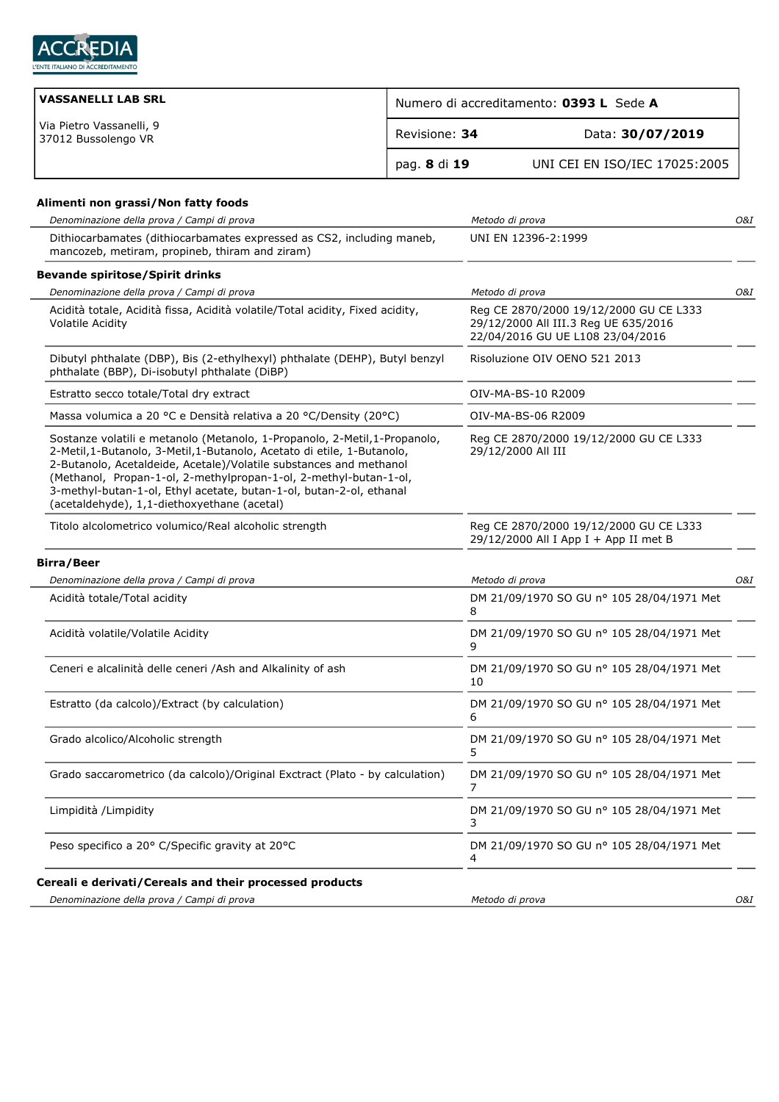

| <b>VASSANELLI LAB SRL</b>                       | Numero di accreditamento: 0393 L Sede A |                               |
|-------------------------------------------------|-----------------------------------------|-------------------------------|
| Via Pietro Vassanelli, 9<br>37012 Bussolengo VR | Revisione: 34                           | Data: 30/07/2019              |
|                                                 | pag. 8 di 19                            | UNI CEI EN ISO/IEC 17025:2005 |

## **Alimenti non grassi/Non fatty foods**

| Denominazione della prova / Campi di prova                                                                                                                                                                                                                                                                                                                                                                             | Metodo di prova                                                                                                    | O&I |
|------------------------------------------------------------------------------------------------------------------------------------------------------------------------------------------------------------------------------------------------------------------------------------------------------------------------------------------------------------------------------------------------------------------------|--------------------------------------------------------------------------------------------------------------------|-----|
| Dithiocarbamates (dithiocarbamates expressed as CS2, including maneb,<br>mancozeb, metiram, propineb, thiram and ziram)                                                                                                                                                                                                                                                                                                | UNI EN 12396-2:1999                                                                                                |     |
| <b>Bevande spiritose/Spirit drinks</b>                                                                                                                                                                                                                                                                                                                                                                                 |                                                                                                                    |     |
| Denominazione della prova / Campi di prova                                                                                                                                                                                                                                                                                                                                                                             | Metodo di prova                                                                                                    | O&I |
| Acidità totale, Acidità fissa, Acidità volatile/Total acidity, Fixed acidity,<br>Volatile Acidity                                                                                                                                                                                                                                                                                                                      | Reg CE 2870/2000 19/12/2000 GU CE L333<br>29/12/2000 All III.3 Reg UE 635/2016<br>22/04/2016 GU UE L108 23/04/2016 |     |
| Dibutyl phthalate (DBP), Bis (2-ethylhexyl) phthalate (DEHP), Butyl benzyl<br>phthalate (BBP), Di-isobutyl phthalate (DiBP)                                                                                                                                                                                                                                                                                            | Risoluzione OIV OENO 521 2013                                                                                      |     |
| Estratto secco totale/Total dry extract                                                                                                                                                                                                                                                                                                                                                                                | OIV-MA-BS-10 R2009                                                                                                 |     |
| Massa volumica a 20 °C e Densità relativa a 20 °C/Density (20°C)                                                                                                                                                                                                                                                                                                                                                       | OIV-MA-BS-06 R2009                                                                                                 |     |
| Sostanze volatili e metanolo (Metanolo, 1-Propanolo, 2-Metil, 1-Propanolo,<br>2-Metil, 1-Butanolo, 3-Metil, 1-Butanolo, Acetato di etile, 1-Butanolo,<br>2-Butanolo, Acetaldeide, Acetale)/Volatile substances and methanol<br>(Methanol, Propan-1-ol, 2-methylpropan-1-ol, 2-methyl-butan-1-ol,<br>3-methyl-butan-1-ol, Ethyl acetate, butan-1-ol, butan-2-ol, ethanal<br>(acetaldehyde), 1,1-diethoxyethane (acetal) | Reg CE 2870/2000 19/12/2000 GU CE L333<br>29/12/2000 All III                                                       |     |
| Titolo alcolometrico volumico/Real alcoholic strength                                                                                                                                                                                                                                                                                                                                                                  | Reg CE 2870/2000 19/12/2000 GU CE L333<br>29/12/2000 All I App I + App II met B                                    |     |
| <b>Birra/Beer</b>                                                                                                                                                                                                                                                                                                                                                                                                      |                                                                                                                    |     |
| Denominazione della prova / Campi di prova                                                                                                                                                                                                                                                                                                                                                                             | Metodo di prova                                                                                                    | O&I |
| Acidità totale/Total acidity                                                                                                                                                                                                                                                                                                                                                                                           | DM 21/09/1970 SO GU nº 105 28/04/1971 Met<br>8                                                                     |     |
| Acidità volatile/Volatile Acidity                                                                                                                                                                                                                                                                                                                                                                                      | DM 21/09/1970 SO GU nº 105 28/04/1971 Met<br>9                                                                     |     |
| Ceneri e alcalinità delle ceneri /Ash and Alkalinity of ash                                                                                                                                                                                                                                                                                                                                                            | DM 21/09/1970 SO GU nº 105 28/04/1971 Met<br>10                                                                    |     |
| Estratto (da calcolo)/Extract (by calculation)                                                                                                                                                                                                                                                                                                                                                                         | DM 21/09/1970 SO GU nº 105 28/04/1971 Met<br>6                                                                     |     |
| Grado alcolico/Alcoholic strength                                                                                                                                                                                                                                                                                                                                                                                      | DM 21/09/1970 SO GU nº 105 28/04/1971 Met<br>5                                                                     |     |
| Grado saccarometrico (da calcolo)/Original Exctract (Plato - by calculation)                                                                                                                                                                                                                                                                                                                                           | DM 21/09/1970 SO GU nº 105 28/04/1971 Met<br>7                                                                     |     |
| Limpidità /Limpidity                                                                                                                                                                                                                                                                                                                                                                                                   | DM 21/09/1970 SO GU nº 105 28/04/1971 Met<br>3                                                                     |     |
| Peso specifico a 20° C/Specific gravity at 20°C                                                                                                                                                                                                                                                                                                                                                                        | DM 21/09/1970 SO GU nº 105 28/04/1971 Met<br>4                                                                     |     |
| Cereali e derivati/Cereals and their processed products                                                                                                                                                                                                                                                                                                                                                                |                                                                                                                    |     |
| Denominazione della prova / Campi di prova                                                                                                                                                                                                                                                                                                                                                                             | Metodo di prova                                                                                                    | O&I |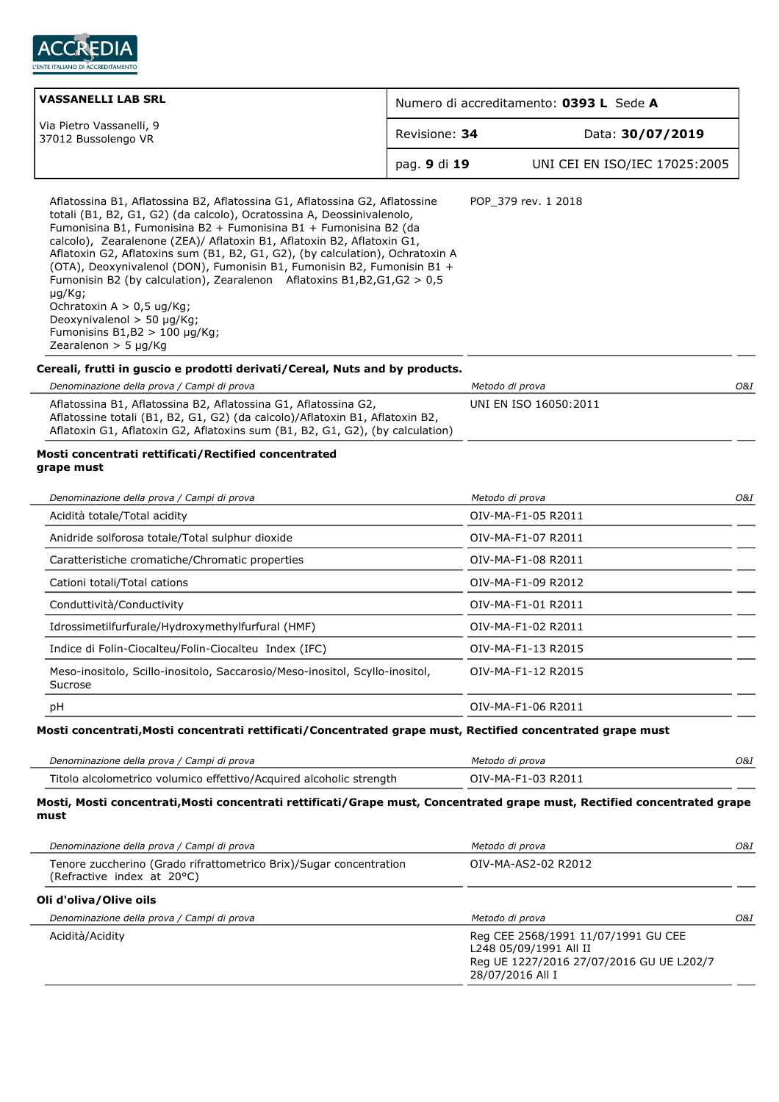

| <b>VASSANELLI LAB SRL</b><br>Numero di accreditamento: 0393 L Sede A                                                                                                                                                                                                                                                                                                                                                                                                                                                                                                                                                                                                                          |              |                               |  |
|-----------------------------------------------------------------------------------------------------------------------------------------------------------------------------------------------------------------------------------------------------------------------------------------------------------------------------------------------------------------------------------------------------------------------------------------------------------------------------------------------------------------------------------------------------------------------------------------------------------------------------------------------------------------------------------------------|--------------|-------------------------------|--|
| Via Pietro Vassanelli, 9<br>Revisione: 34<br>37012 Bussolengo VR                                                                                                                                                                                                                                                                                                                                                                                                                                                                                                                                                                                                                              |              | Data: 30/07/2019              |  |
|                                                                                                                                                                                                                                                                                                                                                                                                                                                                                                                                                                                                                                                                                               | pag. 9 di 19 | UNI CEI EN ISO/IEC 17025:2005 |  |
| Aflatossina B1, Aflatossina B2, Aflatossina G1, Aflatossina G2, Aflatossine<br>totali (B1, B2, G1, G2) (da calcolo), Ocratossina A, Deossinivalenolo,<br>Fumonisina B1, Fumonisina B2 + Fumonisina B1 + Fumonisina B2 (da<br>calcolo), Zearalenone (ZEA)/ Aflatoxin B1, Aflatoxin B2, Aflatoxin G1,<br>Aflatoxin G2, Aflatoxins sum (B1, B2, G1, G2), (by calculation), Ochratoxin A<br>(OTA), Deoxynivalenol (DON), Fumonisin B1, Fumonisin B2, Fumonisin B1 +<br>Fumonisin B2 (by calculation), Zearalenon Aflatoxins B1, B2, G1, G2 > 0, 5<br>$\mu q/Kq$ ;<br>Ochratoxin $A > 0.5$ ug/Kg;<br>Deoxynivalenol $>$ 50 µg/Kg;<br>Fumonisins $B1,B2 > 100 \mu g/Kg$ ;<br>Zearalenon $>$ 5 µg/Kg |              | POP 379 rev. 1 2018           |  |
| Cereali, frutti in guscio e prodotti derivati/Cereal, Nuts and by products.                                                                                                                                                                                                                                                                                                                                                                                                                                                                                                                                                                                                                   |              |                               |  |
| Denominazione della prova / Campi di prova                                                                                                                                                                                                                                                                                                                                                                                                                                                                                                                                                                                                                                                    |              | O&I<br>Metodo di prova        |  |
| Aflatossina B1, Aflatossina B2, Aflatossina G1, Aflatossina G2,<br>Aflatossine totali (B1, B2, G1, G2) (da calcolo)/Aflatoxin B1, Aflatoxin B2,<br>Aflatoxin G1, Aflatoxin G2, Aflatoxins sum (B1, B2, G1, G2), (by calculation)                                                                                                                                                                                                                                                                                                                                                                                                                                                              |              | UNI EN ISO 16050:2011         |  |
| Mosti concentrati rettificati/Rectified concentrated<br>grape must                                                                                                                                                                                                                                                                                                                                                                                                                                                                                                                                                                                                                            |              |                               |  |
| Denominazione della prova / Campi di prova                                                                                                                                                                                                                                                                                                                                                                                                                                                                                                                                                                                                                                                    |              | Metodo di prova<br>O&I        |  |
| Acidità totale/Total acidity                                                                                                                                                                                                                                                                                                                                                                                                                                                                                                                                                                                                                                                                  |              | OIV-MA-F1-05 R2011            |  |
| Anidride solforosa totale/Total sulphur dioxide                                                                                                                                                                                                                                                                                                                                                                                                                                                                                                                                                                                                                                               |              | OIV-MA-F1-07 R2011            |  |
| Caratteristiche cromatiche/Chromatic properties                                                                                                                                                                                                                                                                                                                                                                                                                                                                                                                                                                                                                                               |              | OIV-MA-F1-08 R2011            |  |
| Cationi totali/Total cations                                                                                                                                                                                                                                                                                                                                                                                                                                                                                                                                                                                                                                                                  |              | OIV-MA-F1-09 R2012            |  |
| Conduttività/Conductivity                                                                                                                                                                                                                                                                                                                                                                                                                                                                                                                                                                                                                                                                     |              | OIV-MA-F1-01 R2011            |  |
| Idrossimetilfurfurale/Hydroxymethylfurfural (HMF)                                                                                                                                                                                                                                                                                                                                                                                                                                                                                                                                                                                                                                             |              | OIV-MA-F1-02 R2011            |  |
| Indice di Folin-Ciocalteu/Folin-Ciocalteu Index (IFC)                                                                                                                                                                                                                                                                                                                                                                                                                                                                                                                                                                                                                                         |              | OIV-MA-F1-13 R2015            |  |
| Meso-inositolo, Scillo-inositolo, Saccarosio/Meso-inositol, Scyllo-inositol,<br>Sucrose                                                                                                                                                                                                                                                                                                                                                                                                                                                                                                                                                                                                       |              | OIV-MA-F1-12 R2015            |  |
| pH                                                                                                                                                                                                                                                                                                                                                                                                                                                                                                                                                                                                                                                                                            |              | OIV-MA-F1-06 R2011            |  |
| Mosti concentrati, Mosti concentrati rettificati/Concentrated grape must, Rectified concentrated grape must                                                                                                                                                                                                                                                                                                                                                                                                                                                                                                                                                                                   |              |                               |  |
|                                                                                                                                                                                                                                                                                                                                                                                                                                                                                                                                                                                                                                                                                               |              |                               |  |
| Denominazione della prova / Campi di prova                                                                                                                                                                                                                                                                                                                                                                                                                                                                                                                                                                                                                                                    |              | Metodo di prova<br>O&I        |  |
| Titolo alcolometrico volumico effettivo/Acquired alcoholic strength                                                                                                                                                                                                                                                                                                                                                                                                                                                                                                                                                                                                                           |              | OIV-MA-F1-03 R2011            |  |
| Mosti, Mosti concentrati, Mosti concentrati rettificati/Grape must, Concentrated grape must, Rectified concentrated grape<br>must                                                                                                                                                                                                                                                                                                                                                                                                                                                                                                                                                             |              |                               |  |
| Denominazione della prova / Campi di prova                                                                                                                                                                                                                                                                                                                                                                                                                                                                                                                                                                                                                                                    |              | O&I<br>Metodo di prova        |  |
| Tenore zuccherino (Grado rifrattometrico Brix)/Sugar concentration<br>(Refractive index at 20°C)                                                                                                                                                                                                                                                                                                                                                                                                                                                                                                                                                                                              |              | OIV-MA-AS2-02 R2012           |  |

**Oli d'oliva/Olive oils**

| <b>UIL &amp; UILVA, UILVE UILS</b>         |                                                                                                                               |     |
|--------------------------------------------|-------------------------------------------------------------------------------------------------------------------------------|-----|
| Denominazione della prova / Campi di prova | Metodo di prova                                                                                                               | O&I |
| Acidità/Acidity                            | Reg CEE 2568/1991 11/07/1991 GU CEE<br>L248 05/09/1991 All II<br>Reg UE 1227/2016 27/07/2016 GU UE L202/7<br>28/07/2016 All I |     |
|                                            |                                                                                                                               |     |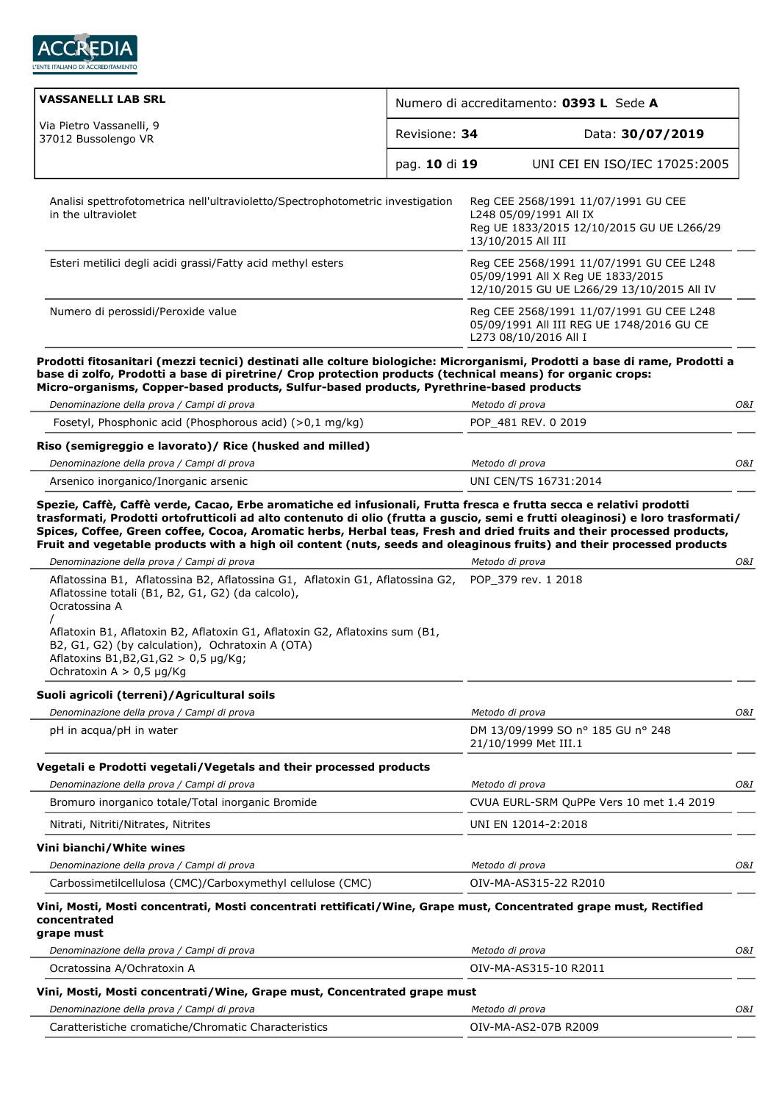

| <b>VASSANELLI LAB SRL</b>                                                                                                                                                                                                                                                                                                             | Numero di accreditamento: 0393 L Sede A |                                                                                                                                  |     |
|---------------------------------------------------------------------------------------------------------------------------------------------------------------------------------------------------------------------------------------------------------------------------------------------------------------------------------------|-----------------------------------------|----------------------------------------------------------------------------------------------------------------------------------|-----|
| Via Pietro Vassanelli, 9<br>37012 Bussolengo VR                                                                                                                                                                                                                                                                                       | Revisione: 34                           | Data: 30/07/2019                                                                                                                 |     |
|                                                                                                                                                                                                                                                                                                                                       | pag. 10 di 19                           | UNI CEI EN ISO/IEC 17025:2005                                                                                                    |     |
| Analisi spettrofotometrica nell'ultravioletto/Spectrophotometric investigation<br>in the ultraviolet                                                                                                                                                                                                                                  |                                         | Reg CEE 2568/1991 11/07/1991 GU CEE<br>L248 05/09/1991 All IX<br>Reg UE 1833/2015 12/10/2015 GU UE L266/29<br>13/10/2015 All III |     |
| Esteri metilici degli acidi grassi/Fatty acid methyl esters                                                                                                                                                                                                                                                                           |                                         | Reg CEE 2568/1991 11/07/1991 GU CEE L248<br>05/09/1991 All X Reg UE 1833/2015<br>12/10/2015 GU UE L266/29 13/10/2015 All IV      |     |
| Numero di perossidi/Peroxide value                                                                                                                                                                                                                                                                                                    |                                         | Reg CEE 2568/1991 11/07/1991 GU CEE L248<br>05/09/1991 All III REG UE 1748/2016 GU CE<br>L273 08/10/2016 All I                   |     |
| Prodotti fitosanitari (mezzi tecnici) destinati alle colture biologiche: Microrganismi, Prodotti a base di rame, Prodotti a<br>base di zolfo, Prodotti a base di piretrine/ Crop protection products (technical means) for organic crops:<br>Micro-organisms, Copper-based products, Sulfur-based products, Pyrethrine-based products |                                         |                                                                                                                                  |     |
| Denominazione della prova / Campi di prova                                                                                                                                                                                                                                                                                            |                                         | Metodo di prova                                                                                                                  | 0&I |
| Fosetyl, Phosphonic acid (Phosphorous acid) (>0,1 mg/kg)                                                                                                                                                                                                                                                                              |                                         | POP 481 REV. 0 2019                                                                                                              |     |
| Riso (semigreggio e lavorato)/ Rice (husked and milled)                                                                                                                                                                                                                                                                               |                                         |                                                                                                                                  |     |
| Denominazione della prova / Campi di prova                                                                                                                                                                                                                                                                                            |                                         | Metodo di prova                                                                                                                  | O&I |
| Arsenico inorganico/Inorganic arsenic                                                                                                                                                                                                                                                                                                 |                                         | UNI CEN/TS 16731:2014                                                                                                            |     |
| Aflatossina B1, Aflatossina B2, Aflatossina G1, Aflatoxin G1, Aflatossina G2,<br>Aflatossine totali (B1, B2, G1, G2) (da calcolo),<br>Ocratossina A                                                                                                                                                                                   |                                         | POP 379 rev. 1 2018                                                                                                              |     |
| Aflatoxin B1, Aflatoxin B2, Aflatoxin G1, Aflatoxin G2, Aflatoxins sum (B1,<br>B2, G1, G2) (by calculation), Ochratoxin A (OTA)<br>Aflatoxins $B1,B2,G1,G2 > 0,5 \mu g/Kg;$<br>Ochratoxin A $> 0.5$ µg/Kg                                                                                                                             |                                         |                                                                                                                                  |     |
| Suoli agricoli (terreni)/Agricultural soils                                                                                                                                                                                                                                                                                           |                                         |                                                                                                                                  |     |
| Denominazione della prova / Campi di prova                                                                                                                                                                                                                                                                                            |                                         | Metodo di prova                                                                                                                  | O&I |
| pH in acqua/pH in water                                                                                                                                                                                                                                                                                                               |                                         | DM 13/09/1999 SO nº 185 GU nº 248<br>21/10/1999 Met III.1                                                                        |     |
| Vegetali e Prodotti vegetali/Vegetals and their processed products                                                                                                                                                                                                                                                                    |                                         |                                                                                                                                  |     |
| Denominazione della prova / Campi di prova                                                                                                                                                                                                                                                                                            |                                         | Metodo di prova                                                                                                                  | O&I |
| Bromuro inorganico totale/Total inorganic Bromide                                                                                                                                                                                                                                                                                     |                                         | CVUA EURL-SRM QuPPe Vers 10 met 1.4 2019                                                                                         |     |
| Nitrati, Nitriti/Nitrates, Nitrites                                                                                                                                                                                                                                                                                                   |                                         | UNI EN 12014-2:2018                                                                                                              |     |
| Vini bianchi/White wines                                                                                                                                                                                                                                                                                                              |                                         |                                                                                                                                  |     |
| Denominazione della prova / Campi di prova                                                                                                                                                                                                                                                                                            |                                         | Metodo di prova                                                                                                                  | O&I |
| Carbossimetilcellulosa (CMC)/Carboxymethyl cellulose (CMC)                                                                                                                                                                                                                                                                            |                                         | OIV-MA-AS315-22 R2010                                                                                                            |     |
| Vini, Mosti, Mosti concentrati, Mosti concentrati rettificati/Wine, Grape must, Concentrated grape must, Rectified<br>concentrated                                                                                                                                                                                                    |                                         |                                                                                                                                  |     |
| grape must                                                                                                                                                                                                                                                                                                                            |                                         |                                                                                                                                  |     |
| Denominazione della prova / Campi di prova                                                                                                                                                                                                                                                                                            |                                         | Metodo di prova                                                                                                                  | O&I |
| Ocratossina A/Ochratoxin A                                                                                                                                                                                                                                                                                                            |                                         | OIV-MA-AS315-10 R2011                                                                                                            |     |
| Vini, Mosti, Mosti concentrati/Wine, Grape must, Concentrated grape must                                                                                                                                                                                                                                                              |                                         |                                                                                                                                  |     |
| Denominazione della prova / Campi di prova                                                                                                                                                                                                                                                                                            |                                         | Metodo di prova                                                                                                                  | O&I |

Caratteristiche cromatiche/Chromatic Characteristics OIV-MA-AS2-07B R2009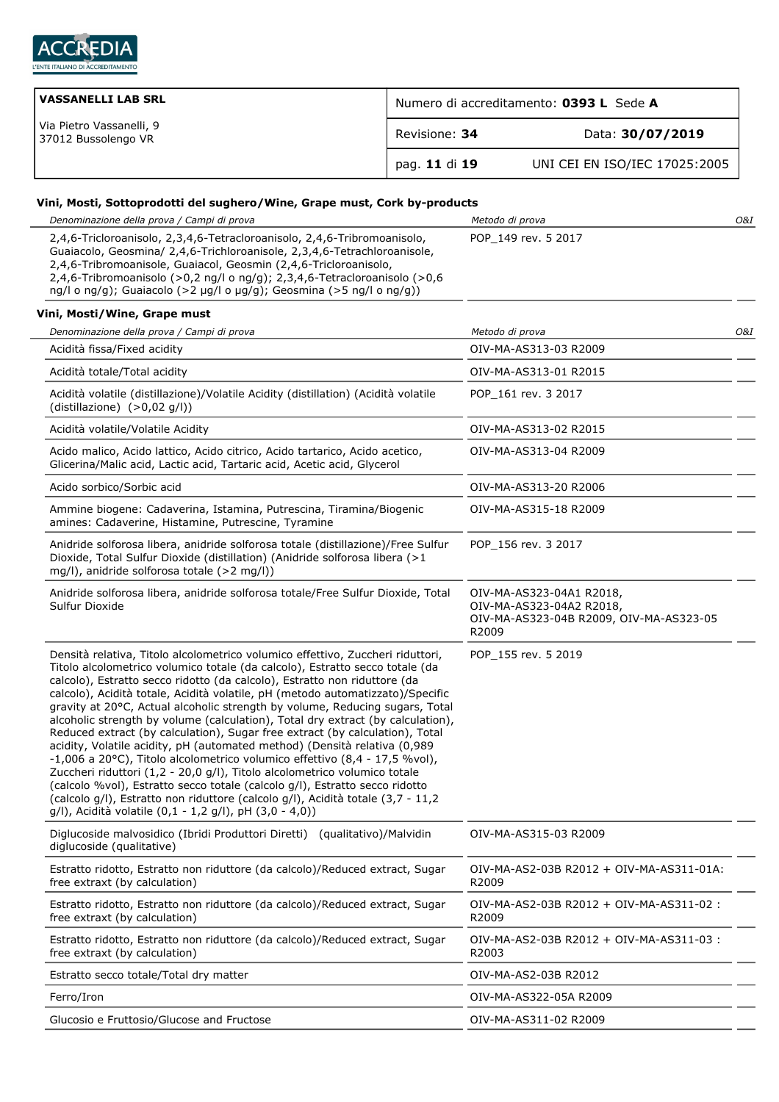

| <b>VASSANELLI LAB SRL</b>                       | Numero di accreditamento: 0393 L Sede A |                               |
|-------------------------------------------------|-----------------------------------------|-------------------------------|
| Via Pietro Vassanelli, 9<br>37012 Bussolengo VR | Revisione: 34                           | Data: 30/07/2019              |
|                                                 | pag. 11 di 19                           | UNI CEI EN ISO/IEC 17025:2005 |

## **Vini, Mosti, Sottoprodotti del sughero/Wine, Grape must, Cork by-products**

| Denominazione della prova / Campi di prova                                                                                                                                                                                                                                                                                                                                                                                                                                                                                                                                                                                                                                                                                                                                                                                                                                                                                                                                                                                                            | Metodo di prova                                                                                          | 0&I |
|-------------------------------------------------------------------------------------------------------------------------------------------------------------------------------------------------------------------------------------------------------------------------------------------------------------------------------------------------------------------------------------------------------------------------------------------------------------------------------------------------------------------------------------------------------------------------------------------------------------------------------------------------------------------------------------------------------------------------------------------------------------------------------------------------------------------------------------------------------------------------------------------------------------------------------------------------------------------------------------------------------------------------------------------------------|----------------------------------------------------------------------------------------------------------|-----|
| 2,4,6-Tricloroanisolo, 2,3,4,6-Tetracloroanisolo, 2,4,6-Tribromoanisolo,<br>Guaiacolo, Geosmina/ 2,4,6-Trichloroanisole, 2,3,4,6-Tetrachloroanisole,<br>2,4,6-Tribromoanisole, Guaiacol, Geosmin (2,4,6-Tricloroanisolo,<br>2,4,6-Tribromoanisolo (>0,2 ng/l o ng/g); 2,3,4,6-Tetracloroanisolo (>0,6<br>ng/l o ng/g); Guaiacolo (>2 µg/l o µg/g); Geosmina (>5 ng/l o ng/g))                                                                                                                                                                                                                                                                                                                                                                                                                                                                                                                                                                                                                                                                         | POP_149 rev. 5 2017                                                                                      |     |
| Vini, Mosti/Wine, Grape must                                                                                                                                                                                                                                                                                                                                                                                                                                                                                                                                                                                                                                                                                                                                                                                                                                                                                                                                                                                                                          |                                                                                                          |     |
| Denominazione della prova / Campi di prova                                                                                                                                                                                                                                                                                                                                                                                                                                                                                                                                                                                                                                                                                                                                                                                                                                                                                                                                                                                                            | Metodo di prova                                                                                          | O&I |
| Acidità fissa/Fixed acidity                                                                                                                                                                                                                                                                                                                                                                                                                                                                                                                                                                                                                                                                                                                                                                                                                                                                                                                                                                                                                           | OIV-MA-AS313-03 R2009                                                                                    |     |
| Acidità totale/Total acidity                                                                                                                                                                                                                                                                                                                                                                                                                                                                                                                                                                                                                                                                                                                                                                                                                                                                                                                                                                                                                          | OIV-MA-AS313-01 R2015                                                                                    |     |
| Acidità volatile (distillazione)/Volatile Acidity (distillation) (Acidità volatile<br>(distillazione) (>0,02 g/l))                                                                                                                                                                                                                                                                                                                                                                                                                                                                                                                                                                                                                                                                                                                                                                                                                                                                                                                                    | POP 161 rev. 3 2017                                                                                      |     |
| Acidità volatile/Volatile Acidity                                                                                                                                                                                                                                                                                                                                                                                                                                                                                                                                                                                                                                                                                                                                                                                                                                                                                                                                                                                                                     | OIV-MA-AS313-02 R2015                                                                                    |     |
| Acido malico, Acido lattico, Acido citrico, Acido tartarico, Acido acetico,<br>Glicerina/Malic acid, Lactic acid, Tartaric acid, Acetic acid, Glycerol                                                                                                                                                                                                                                                                                                                                                                                                                                                                                                                                                                                                                                                                                                                                                                                                                                                                                                | OIV-MA-AS313-04 R2009                                                                                    |     |
| Acido sorbico/Sorbic acid                                                                                                                                                                                                                                                                                                                                                                                                                                                                                                                                                                                                                                                                                                                                                                                                                                                                                                                                                                                                                             | OIV-MA-AS313-20 R2006                                                                                    |     |
| Ammine biogene: Cadaverina, Istamina, Putrescina, Tiramina/Biogenic<br>amines: Cadaverine, Histamine, Putrescine, Tyramine                                                                                                                                                                                                                                                                                                                                                                                                                                                                                                                                                                                                                                                                                                                                                                                                                                                                                                                            | OIV-MA-AS315-18 R2009                                                                                    |     |
| Anidride solforosa libera, anidride solforosa totale (distillazione)/Free Sulfur<br>Dioxide, Total Sulfur Dioxide (distillation) (Anidride solforosa libera (>1<br>mg/l), anidride solforosa totale (>2 mg/l))                                                                                                                                                                                                                                                                                                                                                                                                                                                                                                                                                                                                                                                                                                                                                                                                                                        | POP 156 rev. 3 2017                                                                                      |     |
| Anidride solforosa libera, anidride solforosa totale/Free Sulfur Dioxide, Total<br>Sulfur Dioxide                                                                                                                                                                                                                                                                                                                                                                                                                                                                                                                                                                                                                                                                                                                                                                                                                                                                                                                                                     | OIV-MA-AS323-04A1 R2018,<br>OIV-MA-AS323-04A2 R2018,<br>OIV-MA-AS323-04B R2009, OIV-MA-AS323-05<br>R2009 |     |
| Densità relativa, Titolo alcolometrico volumico effettivo, Zuccheri riduttori,<br>Titolo alcolometrico volumico totale (da calcolo), Estratto secco totale (da<br>calcolo), Estratto secco ridotto (da calcolo), Estratto non riduttore (da<br>calcolo), Acidità totale, Acidità volatile, pH (metodo automatizzato)/Specific<br>gravity at 20°C, Actual alcoholic strength by volume, Reducing sugars, Total<br>alcoholic strength by volume (calculation), Total dry extract (by calculation),<br>Reduced extract (by calculation), Sugar free extract (by calculation), Total<br>acidity, Volatile acidity, pH (automated method) (Densità relativa (0,989<br>-1,006 a 20°C), Titolo alcolometrico volumico effettivo (8,4 - 17,5 %vol),<br>Zuccheri riduttori (1,2 - 20,0 g/l), Titolo alcolometrico volumico totale<br>(calcolo %vol), Estratto secco totale (calcolo g/l), Estratto secco ridotto<br>(calcolo g/l), Estratto non riduttore (calcolo g/l), Acidità totale (3,7 - 11,2<br>g/l), Acidità volatile (0,1 - 1,2 g/l), pH (3,0 - 4,0)) | POP 155 rev. 5 2019                                                                                      |     |
| Diglucoside malvosidico (Ibridi Produttori Diretti) (qualitativo)/Malvidin<br>diglucoside (qualitative)                                                                                                                                                                                                                                                                                                                                                                                                                                                                                                                                                                                                                                                                                                                                                                                                                                                                                                                                               | OIV-MA-AS315-03 R2009                                                                                    |     |
| Estratto ridotto, Estratto non riduttore (da calcolo)/Reduced extract, Sugar<br>free extraxt (by calculation)                                                                                                                                                                                                                                                                                                                                                                                                                                                                                                                                                                                                                                                                                                                                                                                                                                                                                                                                         | OIV-MA-AS2-03B R2012 + OIV-MA-AS311-01A:<br>R2009                                                        |     |
| Estratto ridotto, Estratto non riduttore (da calcolo)/Reduced extract, Sugar<br>free extraxt (by calculation)                                                                                                                                                                                                                                                                                                                                                                                                                                                                                                                                                                                                                                                                                                                                                                                                                                                                                                                                         | OIV-MA-AS2-03B R2012 + OIV-MA-AS311-02 :<br>R2009                                                        |     |
| Estratto ridotto, Estratto non riduttore (da calcolo)/Reduced extract, Sugar<br>free extraxt (by calculation)                                                                                                                                                                                                                                                                                                                                                                                                                                                                                                                                                                                                                                                                                                                                                                                                                                                                                                                                         | OIV-MA-AS2-03B R2012 + OIV-MA-AS311-03 :<br>R2003                                                        |     |
| Estratto secco totale/Total dry matter                                                                                                                                                                                                                                                                                                                                                                                                                                                                                                                                                                                                                                                                                                                                                                                                                                                                                                                                                                                                                | OIV-MA-AS2-03B R2012                                                                                     |     |
| Ferro/Iron                                                                                                                                                                                                                                                                                                                                                                                                                                                                                                                                                                                                                                                                                                                                                                                                                                                                                                                                                                                                                                            | OIV-MA-AS322-05A R2009                                                                                   |     |
| Glucosio e Fruttosio/Glucose and Fructose                                                                                                                                                                                                                                                                                                                                                                                                                                                                                                                                                                                                                                                                                                                                                                                                                                                                                                                                                                                                             | OIV-MA-AS311-02 R2009                                                                                    |     |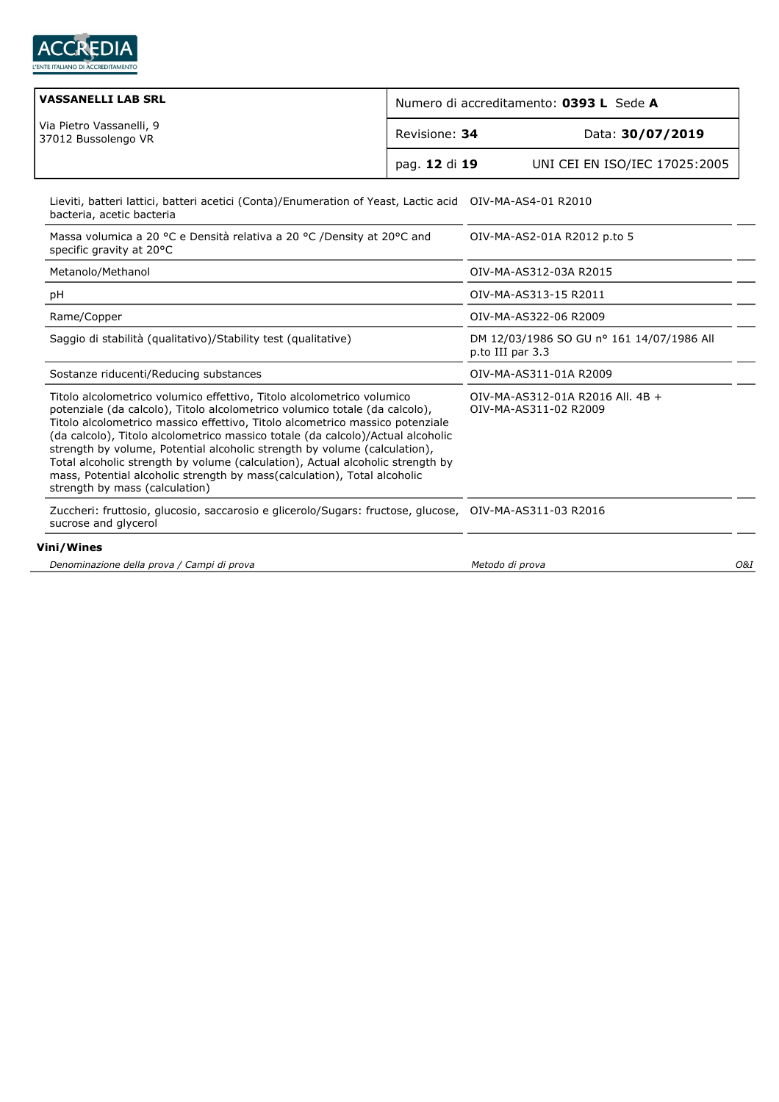

| <b>VASSANELLI LAB SRL</b>                       | Numero di accreditamento: 0393 L Sede A |                               |
|-------------------------------------------------|-----------------------------------------|-------------------------------|
| Via Pietro Vassanelli, 9<br>37012 Bussolengo VR | Revisione: 34                           | Data: 30/07/2019              |
|                                                 | pag. 12 di 19                           | UNI CEI EN ISO/IEC 17025:2005 |
|                                                 |                                         |                               |

Lieviti, batteri lattici, batteri acetici (Conta)/Enumeration of Yeast, Lactic acid OIV-MA-AS4-01 R2010 bacteria, acetic bacteria

| Massa volumica a 20 °C e Densità relativa a 20 °C /Density at 20°C and<br>specific gravity at 20°C                                                                                                                                                                                                                                                                                                                                                                                                                                                                                                     | OIV-MA-AS2-01A R2012 p.to 5                                   |
|--------------------------------------------------------------------------------------------------------------------------------------------------------------------------------------------------------------------------------------------------------------------------------------------------------------------------------------------------------------------------------------------------------------------------------------------------------------------------------------------------------------------------------------------------------------------------------------------------------|---------------------------------------------------------------|
| Metanolo/Methanol                                                                                                                                                                                                                                                                                                                                                                                                                                                                                                                                                                                      | OIV-MA-AS312-03A R2015                                        |
| pH                                                                                                                                                                                                                                                                                                                                                                                                                                                                                                                                                                                                     | OIV-MA-AS313-15 R2011                                         |
| Rame/Copper                                                                                                                                                                                                                                                                                                                                                                                                                                                                                                                                                                                            | OIV-MA-AS322-06 R2009                                         |
| Saggio di stabilità (qualitativo)/Stability test (qualitative)                                                                                                                                                                                                                                                                                                                                                                                                                                                                                                                                         | DM 12/03/1986 SO GU nº 161 14/07/1986 All<br>p.to III par 3.3 |
| Sostanze riducenti/Reducing substances                                                                                                                                                                                                                                                                                                                                                                                                                                                                                                                                                                 | OIV-MA-AS311-01A R2009                                        |
| Titolo alcolometrico volumico effettivo, Titolo alcolometrico volumico<br>potenziale (da calcolo), Titolo alcolometrico volumico totale (da calcolo),<br>Titolo alcolometrico massico effettivo, Titolo alcometrico massico potenziale<br>(da calcolo), Titolo alcolometrico massico totale (da calcolo)/Actual alcoholic<br>strength by volume, Potential alcoholic strength by volume (calculation),<br>Total alcoholic strength by volume (calculation), Actual alcoholic strength by<br>mass, Potential alcoholic strength by mass(calculation), Total alcoholic<br>strength by mass (calculation) | OIV-MA-AS312-01A R2016 All. 4B +<br>OIV-MA-AS311-02 R2009     |
| Zuccheri: fruttosio, glucosio, saccarosio e glicerolo/Sugars: fructose, glucose, OIV-MA-AS311-03 R2016<br>sucrose and glycerol                                                                                                                                                                                                                                                                                                                                                                                                                                                                         |                                                               |
| Vini/Wines                                                                                                                                                                                                                                                                                                                                                                                                                                                                                                                                                                                             |                                                               |
| Denominazione della prova / Campi di prova                                                                                                                                                                                                                                                                                                                                                                                                                                                                                                                                                             | O&I<br>Metodo di prova                                        |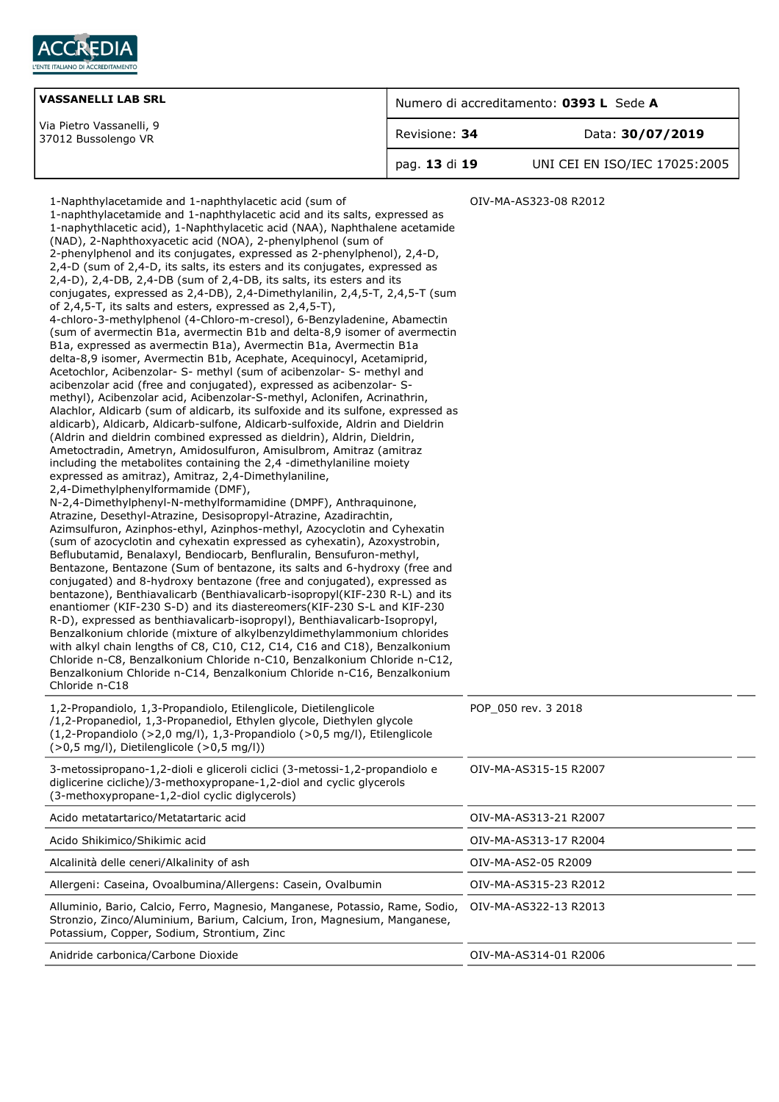

| <b>VASSANELLI LAB SRL</b>                       | Numero di accreditamento: 0393 L Sede A |                               |
|-------------------------------------------------|-----------------------------------------|-------------------------------|
| Via Pietro Vassanelli, 9<br>37012 Bussolengo VR | Revisione: 34                           | Data: 30/07/2019              |
|                                                 | pag. 13 di 19                           | UNI CEI EN ISO/IEC 17025:2005 |

| 1-Naphthylacetamide and 1-naphthylacetic acid (sum of<br>1-naphthylacetamide and 1-naphthylacetic acid and its salts, expressed as<br>1-naphythlacetic acid), 1-Naphthylacetic acid (NAA), Naphthalene acetamide<br>(NAD), 2-Naphthoxyacetic acid (NOA), 2-phenylphenol (sum of<br>2-phenylphenol and its conjugates, expressed as 2-phenylphenol), 2,4-D,<br>2,4-D (sum of 2,4-D, its salts, its esters and its conjugates, expressed as<br>2,4-D), 2,4-DB, 2,4-DB (sum of 2,4-DB, its salts, its esters and its<br>conjugates, expressed as 2,4-DB), 2,4-Dimethylanilin, 2,4,5-T, 2,4,5-T (sum<br>of $2,4,5$ -T, its salts and esters, expressed as $2,4,5$ -T),<br>4-chloro-3-methylphenol (4-Chloro-m-cresol), 6-Benzyladenine, Abamectin<br>(sum of avermectin B1a, avermectin B1b and delta-8,9 isomer of avermectin<br>B1a, expressed as avermectin B1a), Avermectin B1a, Avermectin B1a<br>delta-8,9 isomer, Avermectin B1b, Acephate, Acequinocyl, Acetamiprid,<br>Acetochlor, Acibenzolar- S- methyl (sum of acibenzolar- S- methyl and<br>acibenzolar acid (free and conjugated), expressed as acibenzolar- S-<br>methyl), Acibenzolar acid, Acibenzolar-S-methyl, Aclonifen, Acrinathrin,<br>Alachlor, Aldicarb (sum of aldicarb, its sulfoxide and its sulfone, expressed as<br>aldicarb), Aldicarb, Aldicarb-sulfone, Aldicarb-sulfoxide, Aldrin and Dieldrin<br>(Aldrin and dieldrin combined expressed as dieldrin), Aldrin, Dieldrin,<br>Ametoctradin, Ametryn, Amidosulfuron, Amisulbrom, Amitraz (amitraz<br>including the metabolites containing the 2,4 -dimethylaniline moiety<br>expressed as amitraz), Amitraz, 2,4-Dimethylaniline,<br>2,4-Dimethylphenylformamide (DMF),<br>N-2,4-Dimethylphenyl-N-methylformamidine (DMPF), Anthraquinone,<br>Atrazine, Desethyl-Atrazine, Desisopropyl-Atrazine, Azadirachtin,<br>Azimsulfuron, Azinphos-ethyl, Azinphos-methyl, Azocyclotin and Cyhexatin<br>(sum of azocyclotin and cyhexatin expressed as cyhexatin), Azoxystrobin,<br>Beflubutamid, Benalaxyl, Bendiocarb, Benfluralin, Bensufuron-methyl,<br>Bentazone, Bentazone (Sum of bentazone, its salts and 6-hydroxy (free and<br>conjugated) and 8-hydroxy bentazone (free and conjugated), expressed as<br>bentazone), Benthiavalicarb (Benthiavalicarb-isopropyl(KIF-230 R-L) and its<br>enantiomer (KIF-230 S-D) and its diastereomers(KIF-230 S-L and KIF-230<br>R-D), expressed as benthiavalicarb-isopropyl), Benthiavalicarb-Isopropyl,<br>Benzalkonium chloride (mixture of alkylbenzyldimethylammonium chlorides<br>with alkyl chain lengths of C8, C10, C12, C14, C16 and C18), Benzalkonium<br>Chloride n-C8, Benzalkonium Chloride n-C10, Benzalkonium Chloride n-C12,<br>Benzalkonium Chloride n-C14, Benzalkonium Chloride n-C16, Benzalkonium<br>Chloride n-C18 | OIV-MA-AS323-08 R2012 |
|----------------------------------------------------------------------------------------------------------------------------------------------------------------------------------------------------------------------------------------------------------------------------------------------------------------------------------------------------------------------------------------------------------------------------------------------------------------------------------------------------------------------------------------------------------------------------------------------------------------------------------------------------------------------------------------------------------------------------------------------------------------------------------------------------------------------------------------------------------------------------------------------------------------------------------------------------------------------------------------------------------------------------------------------------------------------------------------------------------------------------------------------------------------------------------------------------------------------------------------------------------------------------------------------------------------------------------------------------------------------------------------------------------------------------------------------------------------------------------------------------------------------------------------------------------------------------------------------------------------------------------------------------------------------------------------------------------------------------------------------------------------------------------------------------------------------------------------------------------------------------------------------------------------------------------------------------------------------------------------------------------------------------------------------------------------------------------------------------------------------------------------------------------------------------------------------------------------------------------------------------------------------------------------------------------------------------------------------------------------------------------------------------------------------------------------------------------------------------------------------------------------------------------------------------------------------------------------------------------------------------------------------------------------------------------------------------------------------------------------------------------------------------------------------------------|-----------------------|
| 1,2-Propandiolo, 1,3-Propandiolo, Etilenglicole, Dietilenglicole<br>/1,2-Propanediol, 1,3-Propanediol, Ethylen glycole, Diethylen glycole<br>(1,2-Propandiolo (>2,0 mg/l), 1,3-Propandiolo (>0,5 mg/l), Etilenglicole<br>$($ >0,5 mg/l), Dietilenglicole $($ >0,5 mg/l))                                                                                                                                                                                                                                                                                                                                                                                                                                                                                                                                                                                                                                                                                                                                                                                                                                                                                                                                                                                                                                                                                                                                                                                                                                                                                                                                                                                                                                                                                                                                                                                                                                                                                                                                                                                                                                                                                                                                                                                                                                                                                                                                                                                                                                                                                                                                                                                                                                                                                                                                 | POP_050 rev. 3 2018   |
| 3-metossipropano-1,2-dioli e gliceroli ciclici (3-metossi-1,2-propandiolo e<br>diglicerine cicliche)/3-methoxypropane-1,2-diol and cyclic glycerols<br>(3-methoxypropane-1,2-diol cyclic diglycerols)                                                                                                                                                                                                                                                                                                                                                                                                                                                                                                                                                                                                                                                                                                                                                                                                                                                                                                                                                                                                                                                                                                                                                                                                                                                                                                                                                                                                                                                                                                                                                                                                                                                                                                                                                                                                                                                                                                                                                                                                                                                                                                                                                                                                                                                                                                                                                                                                                                                                                                                                                                                                    | OIV-MA-AS315-15 R2007 |
| Acido metatartarico/Metatartaric acid                                                                                                                                                                                                                                                                                                                                                                                                                                                                                                                                                                                                                                                                                                                                                                                                                                                                                                                                                                                                                                                                                                                                                                                                                                                                                                                                                                                                                                                                                                                                                                                                                                                                                                                                                                                                                                                                                                                                                                                                                                                                                                                                                                                                                                                                                                                                                                                                                                                                                                                                                                                                                                                                                                                                                                    | OIV-MA-AS313-21 R2007 |
| Acido Shikimico/Shikimic acid                                                                                                                                                                                                                                                                                                                                                                                                                                                                                                                                                                                                                                                                                                                                                                                                                                                                                                                                                                                                                                                                                                                                                                                                                                                                                                                                                                                                                                                                                                                                                                                                                                                                                                                                                                                                                                                                                                                                                                                                                                                                                                                                                                                                                                                                                                                                                                                                                                                                                                                                                                                                                                                                                                                                                                            | OIV-MA-AS313-17 R2004 |
| Alcalinità delle ceneri/Alkalinity of ash                                                                                                                                                                                                                                                                                                                                                                                                                                                                                                                                                                                                                                                                                                                                                                                                                                                                                                                                                                                                                                                                                                                                                                                                                                                                                                                                                                                                                                                                                                                                                                                                                                                                                                                                                                                                                                                                                                                                                                                                                                                                                                                                                                                                                                                                                                                                                                                                                                                                                                                                                                                                                                                                                                                                                                | OIV-MA-AS2-05 R2009   |
| Allergeni: Caseina, Ovoalbumina/Allergens: Casein, Ovalbumin                                                                                                                                                                                                                                                                                                                                                                                                                                                                                                                                                                                                                                                                                                                                                                                                                                                                                                                                                                                                                                                                                                                                                                                                                                                                                                                                                                                                                                                                                                                                                                                                                                                                                                                                                                                                                                                                                                                                                                                                                                                                                                                                                                                                                                                                                                                                                                                                                                                                                                                                                                                                                                                                                                                                             | OIV-MA-AS315-23 R2012 |
| Alluminio, Bario, Calcio, Ferro, Magnesio, Manganese, Potassio, Rame, Sodio,<br>Stronzio, Zinco/Aluminium, Barium, Calcium, Iron, Magnesium, Manganese,<br>Potassium, Copper, Sodium, Strontium, Zinc                                                                                                                                                                                                                                                                                                                                                                                                                                                                                                                                                                                                                                                                                                                                                                                                                                                                                                                                                                                                                                                                                                                                                                                                                                                                                                                                                                                                                                                                                                                                                                                                                                                                                                                                                                                                                                                                                                                                                                                                                                                                                                                                                                                                                                                                                                                                                                                                                                                                                                                                                                                                    | OIV-MA-AS322-13 R2013 |
| Anidride carbonica/Carbone Dioxide                                                                                                                                                                                                                                                                                                                                                                                                                                                                                                                                                                                                                                                                                                                                                                                                                                                                                                                                                                                                                                                                                                                                                                                                                                                                                                                                                                                                                                                                                                                                                                                                                                                                                                                                                                                                                                                                                                                                                                                                                                                                                                                                                                                                                                                                                                                                                                                                                                                                                                                                                                                                                                                                                                                                                                       | OIV-MA-AS314-01 R2006 |
|                                                                                                                                                                                                                                                                                                                                                                                                                                                                                                                                                                                                                                                                                                                                                                                                                                                                                                                                                                                                                                                                                                                                                                                                                                                                                                                                                                                                                                                                                                                                                                                                                                                                                                                                                                                                                                                                                                                                                                                                                                                                                                                                                                                                                                                                                                                                                                                                                                                                                                                                                                                                                                                                                                                                                                                                          |                       |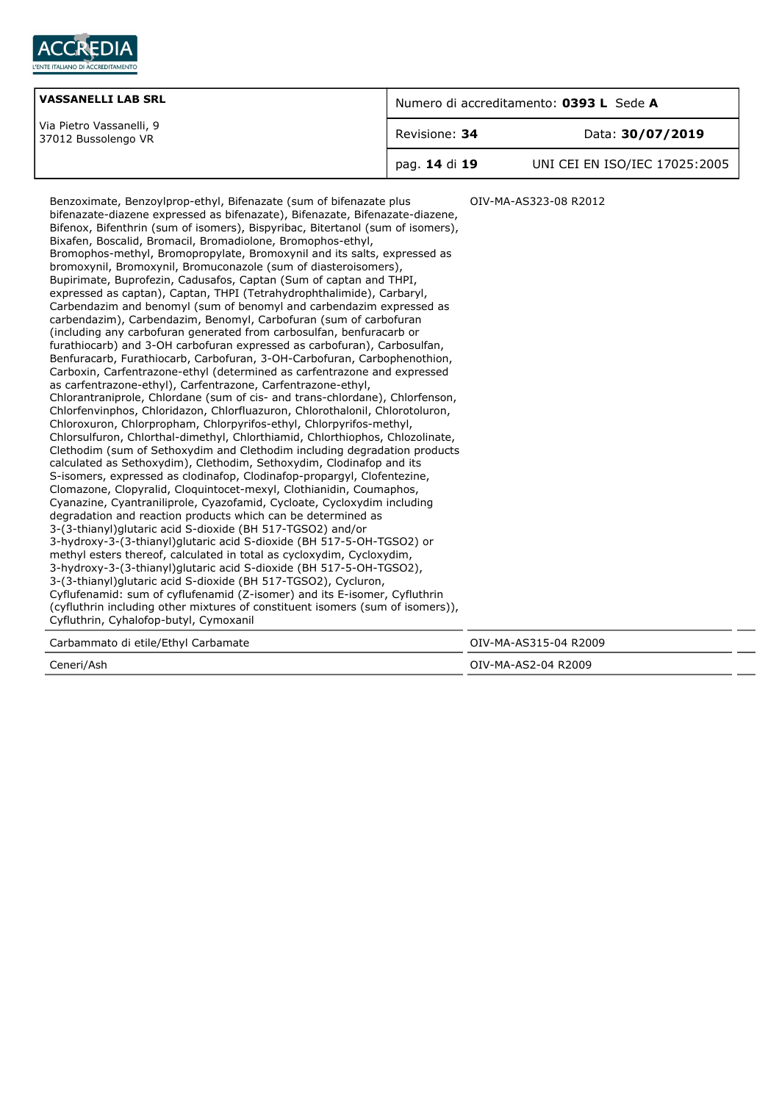

| <b>VASSANELLI LAB SRL</b>                       | Numero di accreditamento: 0393 L Sede A |                               |
|-------------------------------------------------|-----------------------------------------|-------------------------------|
| Via Pietro Vassanelli, 9<br>37012 Bussolengo VR | Revisione: 34                           | Data: 30/07/2019              |
|                                                 | pag. 14 di 19                           | UNI CEI EN ISO/IEC 17025:2005 |

Benzoximate, Benzoylprop-ethyl, Bifenazate (sum of bifenazate plus bifenazate-diazene expressed as bifenazate), Bifenazate, Bifenazate-diazene, Bifenox, Bifenthrin (sum of isomers), Bispyribac, Bitertanol (sum of isomers), Bixafen, Boscalid, Bromacil, Bromadiolone, Bromophos-ethyl, Bromophos-methyl, Bromopropylate, Bromoxynil and its salts, expressed as bromoxynil, Bromoxynil, Bromuconazole (sum of diasteroisomers), Bupirimate, Buprofezin, Cadusafos, Captan (Sum of captan and THPI, expressed as captan), Captan, THPI (Tetrahydrophthalimide), Carbaryl, Carbendazim and benomyl (sum of benomyl and carbendazim expressed as carbendazim), Carbendazim, Benomyl, Carbofuran (sum of carbofuran (including any carbofuran generated from carbosulfan, benfuracarb or furathiocarb) and 3-OH carbofuran expressed as carbofuran), Carbosulfan, Benfuracarb, Furathiocarb, Carbofuran, 3-OH-Carbofuran, Carbophenothion, Carboxin, Carfentrazone-ethyl (determined as carfentrazone and expressed as carfentrazone-ethyl), Carfentrazone, Carfentrazone-ethyl, Chlorantraniprole, Chlordane (sum of cis- and trans-chlordane), Chlorfenson, Chlorfenvinphos, Chloridazon, Chlorfluazuron, Chlorothalonil, Chlorotoluron, Chloroxuron, Chlorpropham, Chlorpyrifos-ethyl, Chlorpyrifos-methyl, Chlorsulfuron, Chlorthal-dimethyl, Chlorthiamid, Chlorthiophos, Chlozolinate, Clethodim (sum of Sethoxydim and Clethodim including degradation products calculated as Sethoxydim), Clethodim, Sethoxydim, Clodinafop and its S-isomers, expressed as clodinafop, Clodinafop-propargyl, Clofentezine, Clomazone, Clopyralid, Cloquintocet-mexyl, Clothianidin, Coumaphos, Cyanazine, Cyantraniliprole, Cyazofamid, Cycloate, Cycloxydim including degradation and reaction products which can be determined as 3-(3-thianyl)glutaric acid S-dioxide (BH 517-TGSO2) and/or 3-hydroxy-3-(3-thianyl)glutaric acid S-dioxide (BH 517-5-OH-TGSO2) or methyl esters thereof, calculated in total as cycloxydim, Cycloxydim, 3-hydroxy-3-(3-thianyl)glutaric acid S-dioxide (BH 517-5-OH-TGSO2), 3-(3-thianyl)glutaric acid S-dioxide (BH 517-TGSO2), Cycluron, Cyflufenamid: sum of cyflufenamid (Z-isomer) and its E-isomer, Cyfluthrin (cyfluthrin including other mixtures of constituent isomers (sum of isomers)), Cyfluthrin, Cyhalofop-butyl, Cymoxanil OIV-MA-AS323-08 R2012 Carbammato di etile/Ethyl Carbamate OIV-MA-AS315-04 R2009 Ceneri/Ash OIV-MA-AS2-04 R2009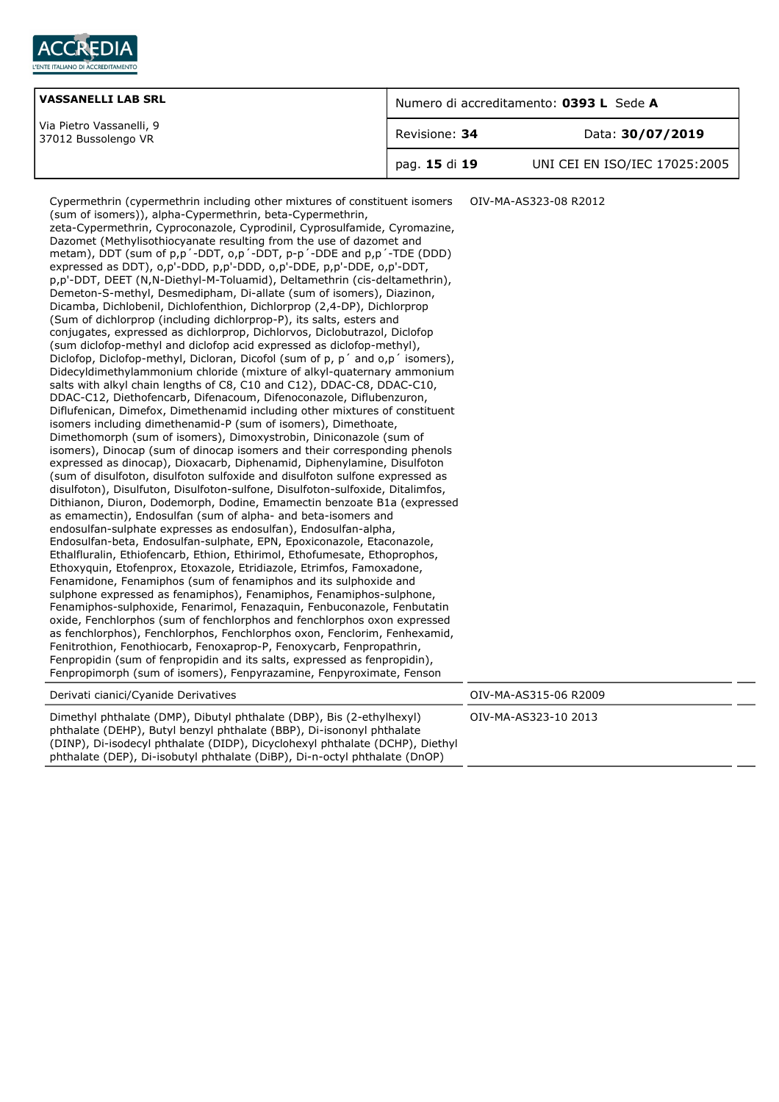

| <b>VASSANELLI LAB SRL</b>                       | Numero di accreditamento: 0393 L Sede A |                               |
|-------------------------------------------------|-----------------------------------------|-------------------------------|
| Via Pietro Vassanelli, 9<br>37012 Bussolengo VR | Revisione: 34                           | Data: 30/07/2019              |
|                                                 | pag. 15 di 19                           | UNI CEI EN ISO/IEC 17025:2005 |

| Cypermethrin (cypermethrin including other mixtures of constituent isomers<br>(sum of isomers)), alpha-Cypermethrin, beta-Cypermethrin,<br>zeta-Cypermethrin, Cyproconazole, Cyprodinil, Cyprosulfamide, Cyromazine,<br>Dazomet (Methylisothiocyanate resulting from the use of dazomet and<br>metam), DDT (sum of p,p '-DDT, o,p '-DDT, p-p '-DDE and p,p '-TDE (DDD)<br>expressed as DDT), o,p'-DDD, p,p'-DDD, o,p'-DDE, p,p'-DDE, o,p'-DDT,<br>p,p'-DDT, DEET (N,N-Diethyl-M-Toluamid), Deltamethrin (cis-deltamethrin),<br>Demeton-S-methyl, Desmedipham, Di-allate (sum of isomers), Diazinon,<br>Dicamba, Dichlobenil, Dichlofenthion, Dichlorprop (2,4-DP), Dichlorprop<br>(Sum of dichlorprop (including dichlorprop-P), its salts, esters and<br>conjugates, expressed as dichlorprop, Dichlorvos, Diclobutrazol, Diclofop<br>(sum diclofop-methyl and diclofop acid expressed as diclofop-methyl),<br>Diclofop, Diclofop-methyl, Dicloran, Dicofol (sum of p, p' and o,p' isomers),<br>Didecyldimethylammonium chloride (mixture of alkyl-quaternary ammonium<br>salts with alkyl chain lengths of C8, C10 and C12), DDAC-C8, DDAC-C10,<br>DDAC-C12, Diethofencarb, Difenacoum, Difenoconazole, Diflubenzuron,<br>Diflufenican, Dimefox, Dimethenamid including other mixtures of constituent<br>isomers including dimethenamid-P (sum of isomers), Dimethoate,<br>Dimethomorph (sum of isomers), Dimoxystrobin, Diniconazole (sum of<br>isomers), Dinocap (sum of dinocap isomers and their corresponding phenols<br>expressed as dinocap), Dioxacarb, Diphenamid, Diphenylamine, Disulfoton<br>(sum of disulfoton, disulfoton sulfoxide and disulfoton sulfone expressed as<br>disulfoton), Disulfuton, Disulfoton-sulfone, Disulfoton-sulfoxide, Ditalimfos,<br>Dithianon, Diuron, Dodemorph, Dodine, Emamectin benzoate B1a (expressed<br>as emamectin), Endosulfan (sum of alpha- and beta-isomers and<br>endosulfan-sulphate expresses as endosulfan), Endosulfan-alpha,<br>Endosulfan-beta, Endosulfan-sulphate, EPN, Epoxiconazole, Etaconazole,<br>Ethalfluralin, Ethiofencarb, Ethion, Ethirimol, Ethofumesate, Ethoprophos,<br>Ethoxyquin, Etofenprox, Etoxazole, Etridiazole, Etrimfos, Famoxadone,<br>Fenamidone, Fenamiphos (sum of fenamiphos and its sulphoxide and<br>sulphone expressed as fenamiphos), Fenamiphos, Fenamiphos-sulphone,<br>Fenamiphos-sulphoxide, Fenarimol, Fenazaguin, Fenbuconazole, Fenbutatin<br>oxide, Fenchlorphos (sum of fenchlorphos and fenchlorphos oxon expressed<br>as fenchlorphos), Fenchlorphos, Fenchlorphos oxon, Fenclorim, Fenhexamid,<br>Fenitrothion, Fenothiocarb, Fenoxaprop-P, Fenoxycarb, Fenpropathrin,<br>Fenpropidin (sum of fenpropidin and its salts, expressed as fenpropidin),<br>Fenpropimorph (sum of isomers), Fenpyrazamine, Fenpyroximate, Fenson | OIV-MA-AS323-08 R2012 |
|---------------------------------------------------------------------------------------------------------------------------------------------------------------------------------------------------------------------------------------------------------------------------------------------------------------------------------------------------------------------------------------------------------------------------------------------------------------------------------------------------------------------------------------------------------------------------------------------------------------------------------------------------------------------------------------------------------------------------------------------------------------------------------------------------------------------------------------------------------------------------------------------------------------------------------------------------------------------------------------------------------------------------------------------------------------------------------------------------------------------------------------------------------------------------------------------------------------------------------------------------------------------------------------------------------------------------------------------------------------------------------------------------------------------------------------------------------------------------------------------------------------------------------------------------------------------------------------------------------------------------------------------------------------------------------------------------------------------------------------------------------------------------------------------------------------------------------------------------------------------------------------------------------------------------------------------------------------------------------------------------------------------------------------------------------------------------------------------------------------------------------------------------------------------------------------------------------------------------------------------------------------------------------------------------------------------------------------------------------------------------------------------------------------------------------------------------------------------------------------------------------------------------------------------------------------------------------------------------------------------------------------------------------------------------------------------------------------------------------------------------------------------------------------------------------------------------------------|-----------------------|
| Derivati cianici/Cyanide Derivatives                                                                                                                                                                                                                                                                                                                                                                                                                                                                                                                                                                                                                                                                                                                                                                                                                                                                                                                                                                                                                                                                                                                                                                                                                                                                                                                                                                                                                                                                                                                                                                                                                                                                                                                                                                                                                                                                                                                                                                                                                                                                                                                                                                                                                                                                                                                                                                                                                                                                                                                                                                                                                                                                                                                                                                                                  | OIV-MA-AS315-06 R2009 |
| Dimethyl phthalate (DMP), Dibutyl phthalate (DBP), Bis (2-ethylhexyl)<br>phthalate (DEHP), Butyl benzyl phthalate (BBP), Di-isononyl phthalate<br>(DINP), Di-isodecyl phthalate (DIDP), Dicyclohexyl phthalate (DCHP), Diethyl<br>phthalate (DEP), Di-isobutyl phthalate (DiBP), Di-n-octyl phthalate (DnOP)                                                                                                                                                                                                                                                                                                                                                                                                                                                                                                                                                                                                                                                                                                                                                                                                                                                                                                                                                                                                                                                                                                                                                                                                                                                                                                                                                                                                                                                                                                                                                                                                                                                                                                                                                                                                                                                                                                                                                                                                                                                                                                                                                                                                                                                                                                                                                                                                                                                                                                                          | OIV-MA-AS323-10 2013  |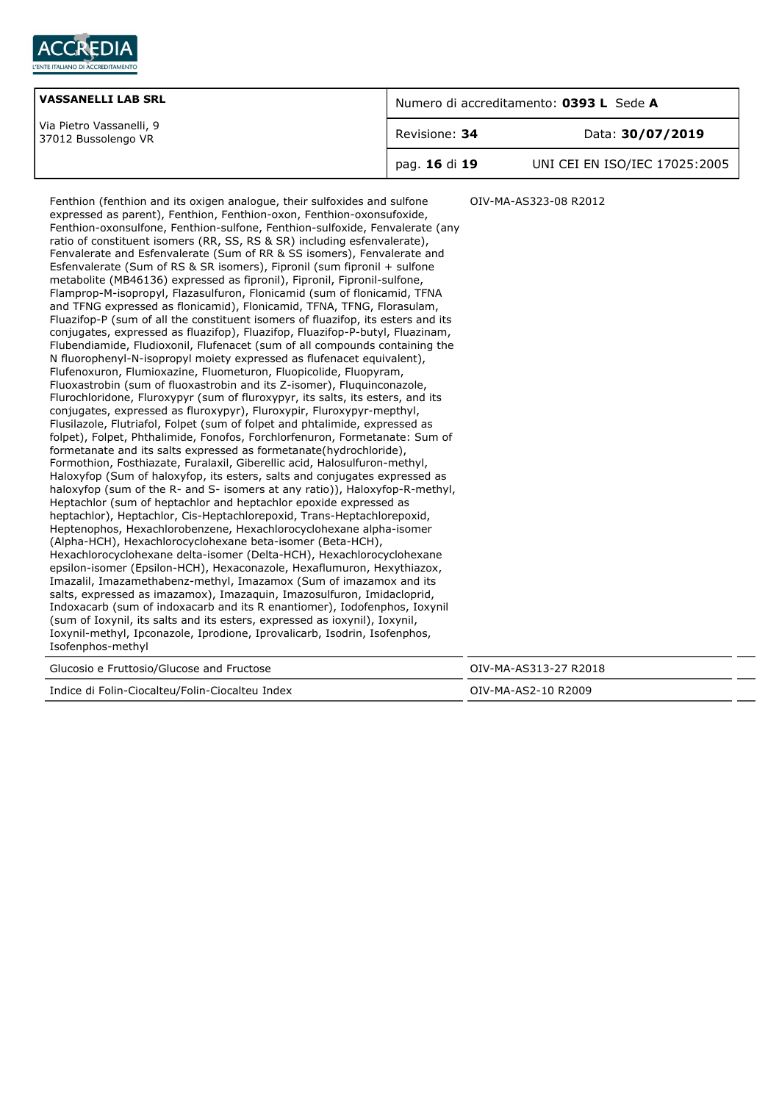

| <b>VASSANELLI LAB SRL</b>                       | Numero di accreditamento: 0393 L Sede A |                               |
|-------------------------------------------------|-----------------------------------------|-------------------------------|
| Via Pietro Vassanelli, 9<br>37012 Bussolengo VR | Revisione: 34                           | Data: 30/07/2019              |
|                                                 | pag. 16 di 19                           | UNI CEI EN ISO/IEC 17025:2005 |

Fenthion (fenthion and its oxigen analogue, their sulfoxides and sulfone expressed as parent), Fenthion, Fenthion-oxon, Fenthion-oxonsufoxide, Fenthion-oxonsulfone, Fenthion-sulfone, Fenthion-sulfoxide, Fenvalerate (any ratio of constituent isomers (RR, SS, RS & SR) including esfenvalerate), Fenvalerate and Esfenvalerate (Sum of RR & SS isomers), Fenvalerate and Esfenvalerate (Sum of RS & SR isomers), Fipronil (sum fipronil + sulfone metabolite (MB46136) expressed as fipronil), Fipronil, Fipronil-sulfone, Flamprop-M-isopropyl, Flazasulfuron, Flonicamid (sum of flonicamid, TFNA and TFNG expressed as flonicamid), Flonicamid, TFNA, TFNG, Florasulam, Fluazifop-P (sum of all the constituent isomers of fluazifop, its esters and its conjugates, expressed as fluazifop), Fluazifop, Fluazifop-P-butyl, Fluazinam, Flubendiamide, Fludioxonil, Flufenacet (sum of all compounds containing the N fluorophenyl-N-isopropyl moiety expressed as flufenacet equivalent), Flufenoxuron, Flumioxazine, Fluometuron, Fluopicolide, Fluopyram, Fluoxastrobin (sum of fluoxastrobin and its Z-isomer), Fluquinconazole, Flurochloridone, Fluroxypyr (sum of fluroxypyr, its salts, its esters, and its conjugates, expressed as fluroxypyr), Fluroxypir, Fluroxypyr-mepthyl, Flusilazole, Flutriafol, Folpet (sum of folpet and phtalimide, expressed as folpet), Folpet, Phthalimide, Fonofos, Forchlorfenuron, Formetanate: Sum of formetanate and its salts expressed as formetanate(hydrochloride), Formothion, Fosthiazate, Furalaxil, Giberellic acid, Halosulfuron-methyl, Haloxyfop (Sum of haloxyfop, its esters, salts and conjugates expressed as haloxyfop (sum of the R- and S- isomers at any ratio)), Haloxyfop-R-methyl, Heptachlor (sum of heptachlor and heptachlor epoxide expressed as heptachlor), Heptachlor, Cis-Heptachlorepoxid, Trans-Heptachlorepoxid, Heptenophos, Hexachlorobenzene, Hexachlorocyclohexane alpha-isomer (Alpha-HCH), Hexachlorocyclohexane beta-isomer (Beta-HCH), Hexachlorocyclohexane delta-isomer (Delta-HCH), Hexachlorocyclohexane epsilon-isomer (Epsilon-HCH), Hexaconazole, Hexaflumuron, Hexythiazox, Imazalil, Imazamethabenz-methyl, Imazamox (Sum of imazamox and its salts, expressed as imazamox), Imazaquin, Imazosulfuron, Imidacloprid, Indoxacarb (sum of indoxacarb and its R enantiomer), Iodofenphos, Ioxynil (sum of Ioxynil, its salts and its esters, expressed as ioxynil), Ioxynil, Ioxynil-methyl, Ipconazole, Iprodione, Iprovalicarb, Isodrin, Isofenphos, Isofenphos-methyl OIV-MA-AS323-08 R2012 Glucosio e Fruttosio/Glucose and Fructose **Canadia e State Control of Canadia City-MA-AS313-27 R2018** 

|  | Indice di Folin-Ciocalteu/Folin-Ciocalteu Index |  |
|--|-------------------------------------------------|--|
|  |                                                 |  |

0IV-MA-AS2-10 R2009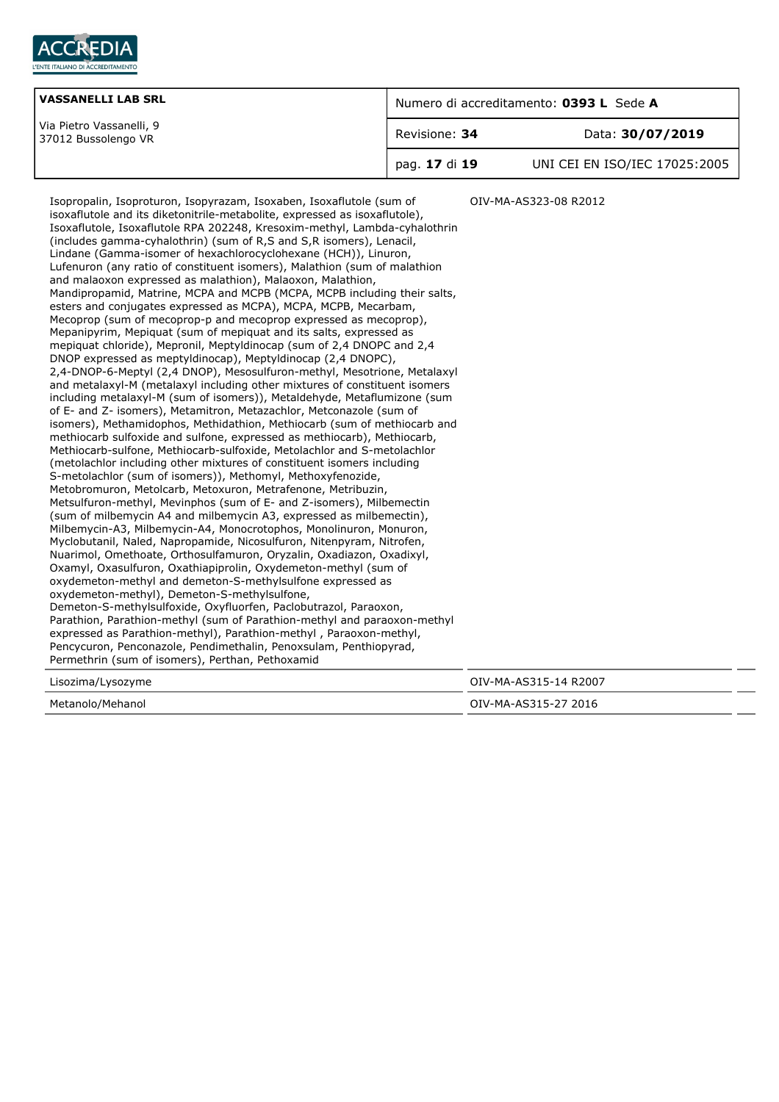

| <b>VASSANELLI LAB SRL</b>                       | Numero di accreditamento: 0393 L Sede A |                               |
|-------------------------------------------------|-----------------------------------------|-------------------------------|
| Via Pietro Vassanelli, 9<br>37012 Bussolengo VR | Revisione: 34                           | Data: 30/07/2019              |
|                                                 | pag. 17 di 19                           | UNI CEI EN ISO/IEC 17025:2005 |

Isopropalin, Isoproturon, Isopyrazam, Isoxaben, Isoxaflutole (sum of isoxaflutole and its diketonitrile-metabolite, expressed as isoxaflutole), Isoxaflutole, Isoxaflutole RPA 202248, Kresoxim-methyl, Lambda-cyhalothrin (includes gamma-cyhalothrin) (sum of R,S and S,R isomers), Lenacil, Lindane (Gamma-isomer of hexachlorocyclohexane (HCH)), Linuron, Lufenuron (any ratio of constituent isomers), Malathion (sum of malathion and malaoxon expressed as malathion), Malaoxon, Malathion, Mandipropamid, Matrine, MCPA and MCPB (MCPA, MCPB including their salts, esters and conjugates expressed as MCPA), MCPA, MCPB, Mecarbam, Mecoprop (sum of mecoprop-p and mecoprop expressed as mecoprop), Mepanipyrim, Mepiquat (sum of mepiquat and its salts, expressed as mepiquat chloride), Mepronil, Meptyldinocap (sum of 2,4 DNOPC and 2,4 DNOP expressed as meptyldinocap), Meptyldinocap (2,4 DNOPC), 2,4-DNOP-6-Meptyl (2,4 DNOP), Mesosulfuron-methyl, Mesotrione, Metalaxyl and metalaxyl-M (metalaxyl including other mixtures of constituent isomers including metalaxyl-M (sum of isomers)), Metaldehyde, Metaflumizone (sum of E- and Z- isomers), Metamitron, Metazachlor, Metconazole (sum of isomers), Methamidophos, Methidathion, Methiocarb (sum of methiocarb and methiocarb sulfoxide and sulfone, expressed as methiocarb), Methiocarb, Methiocarb-sulfone, Methiocarb-sulfoxide, Metolachlor and S-metolachlor (metolachlor including other mixtures of constituent isomers including S-metolachlor (sum of isomers)), Methomyl, Methoxyfenozide, Metobromuron, Metolcarb, Metoxuron, Metrafenone, Metribuzin, Metsulfuron-methyl, Mevinphos (sum of E- and Z-isomers), Milbemectin (sum of milbemycin A4 and milbemycin A3, expressed as milbemectin), Milbemycin-A3, Milbemycin-A4, Monocrotophos, Monolinuron, Monuron, Myclobutanil, Naled, Napropamide, Nicosulfuron, Nitenpyram, Nitrofen, Nuarimol, Omethoate, Orthosulfamuron, Oryzalin, Oxadiazon, Oxadixyl, Oxamyl, Oxasulfuron, Oxathiapiprolin, Oxydemeton-methyl (sum of oxydemeton-methyl and demeton-S-methylsulfone expressed as oxydemeton-methyl), Demeton-S-methylsulfone, Demeton-S-methylsulfoxide, Oxyfluorfen, Paclobutrazol, Paraoxon, Parathion, Parathion-methyl (sum of Parathion-methyl and paraoxon-methyl expressed as Parathion-methyl), Parathion-methyl , Paraoxon-methyl, Pencycuron, Penconazole, Pendimethalin, Penoxsulam, Penthiopyrad, Permethrin (sum of isomers), Perthan, Pethoxamid OIV-MA-AS323-08 R2012 Lisozima/Lysozyme OIV-MA-AS315-14 R2007 Metanolo/Mehanol OIV-MA-AS315-27 2016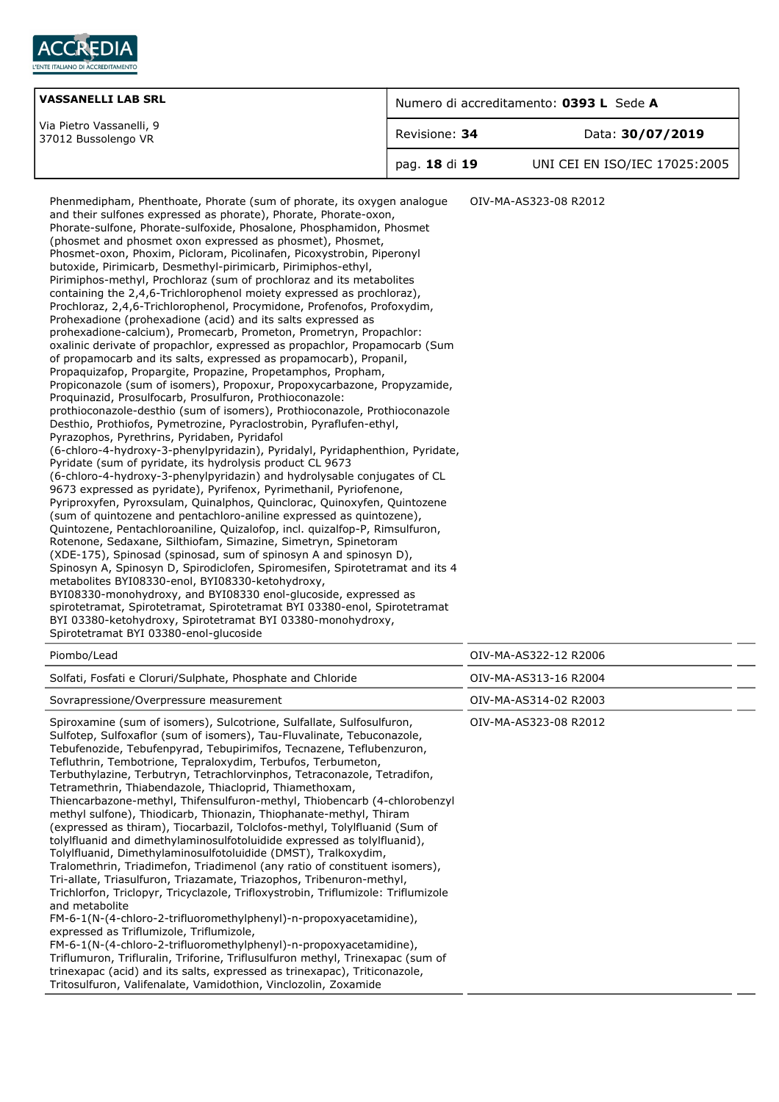

| <b>VASSANELLI LAB SRL</b>                       | Numero di accreditamento: 0393 L Sede A |                               |
|-------------------------------------------------|-----------------------------------------|-------------------------------|
| Via Pietro Vassanelli, 9<br>37012 Bussolengo VR | Revisione: 34                           | Data: 30/07/2019              |
|                                                 | pag. 18 di 19                           | UNI CEI EN ISO/IEC 17025:2005 |

| Piombo/Lead |
|-------------|
|             |

| Pionipo/Leag                                                                                                                                                                                                                                                                                                                                                                                                                                                                                                                                                                                                                                                                                                                                                                                                                                                                                                                                                                                                                                                                                                                                                                                                                                                                                                                                                                                                                                                                                             | UIV-MA-AS3ZZ-IZ RZUUD |
|----------------------------------------------------------------------------------------------------------------------------------------------------------------------------------------------------------------------------------------------------------------------------------------------------------------------------------------------------------------------------------------------------------------------------------------------------------------------------------------------------------------------------------------------------------------------------------------------------------------------------------------------------------------------------------------------------------------------------------------------------------------------------------------------------------------------------------------------------------------------------------------------------------------------------------------------------------------------------------------------------------------------------------------------------------------------------------------------------------------------------------------------------------------------------------------------------------------------------------------------------------------------------------------------------------------------------------------------------------------------------------------------------------------------------------------------------------------------------------------------------------|-----------------------|
| Solfati, Fosfati e Cloruri/Sulphate, Phosphate and Chloride                                                                                                                                                                                                                                                                                                                                                                                                                                                                                                                                                                                                                                                                                                                                                                                                                                                                                                                                                                                                                                                                                                                                                                                                                                                                                                                                                                                                                                              | OIV-MA-AS313-16 R2004 |
| Sovrapressione/Overpressure measurement                                                                                                                                                                                                                                                                                                                                                                                                                                                                                                                                                                                                                                                                                                                                                                                                                                                                                                                                                                                                                                                                                                                                                                                                                                                                                                                                                                                                                                                                  | OIV-MA-AS314-02 R2003 |
| Spiroxamine (sum of isomers), Sulcotrione, Sulfallate, Sulfosulfuron,<br>Sulfotep, Sulfoxaflor (sum of isomers), Tau-Fluvalinate, Tebuconazole,<br>Tebufenozide, Tebufenpyrad, Tebupirimifos, Tecnazene, Teflubenzuron,<br>Tefluthrin, Tembotrione, Tepraloxydim, Terbufos, Terbumeton,<br>Terbuthylazine, Terbutryn, Tetrachlorvinphos, Tetraconazole, Tetradifon,<br>Tetramethrin, Thiabendazole, Thiacloprid, Thiamethoxam,<br>Thiencarbazone-methyl, Thifensulfuron-methyl, Thiobencarb (4-chlorobenzyl<br>methyl sulfone), Thiodicarb, Thionazin, Thiophanate-methyl, Thiram<br>(expressed as thiram), Tiocarbazil, Tolclofos-methyl, Tolylfluanid (Sum of<br>tolylfluanid and dimethylaminosulfotoluidide expressed as tolylfluanid),<br>Tolylfluanid, Dimethylaminosulfotoluidide (DMST), Tralkoxydim,<br>Tralomethrin, Triadimefon, Triadimenol (any ratio of constituent isomers),<br>Tri-allate, Triasulfuron, Triazamate, Triazophos, Tribenuron-methyl,<br>Trichlorfon, Triclopyr, Tricyclazole, Trifloxystrobin, Triflumizole: Triflumizole<br>and metabolite<br>$FM-6-1(N-(4-chloro-2-trifluoromethylphenyl)-n-propoxyacetamidine),$<br>expressed as Triflumizole, Triflumizole,<br>$FM-6-1(N-(4-chloro-2-trifluoromethylphenyl)-n-propoxyacetamidine),$<br>Triflumuron, Trifluralin, Triforine, Triflusulfuron methyl, Trinexapac (sum of<br>trinexapac (acid) and its salts, expressed as trinexapac), Triticonazole,<br>Tritosulfuron, Valifenalate, Vamidothion, Vinclozolin, Zoxamide | OIV-MA-AS323-08 R2012 |